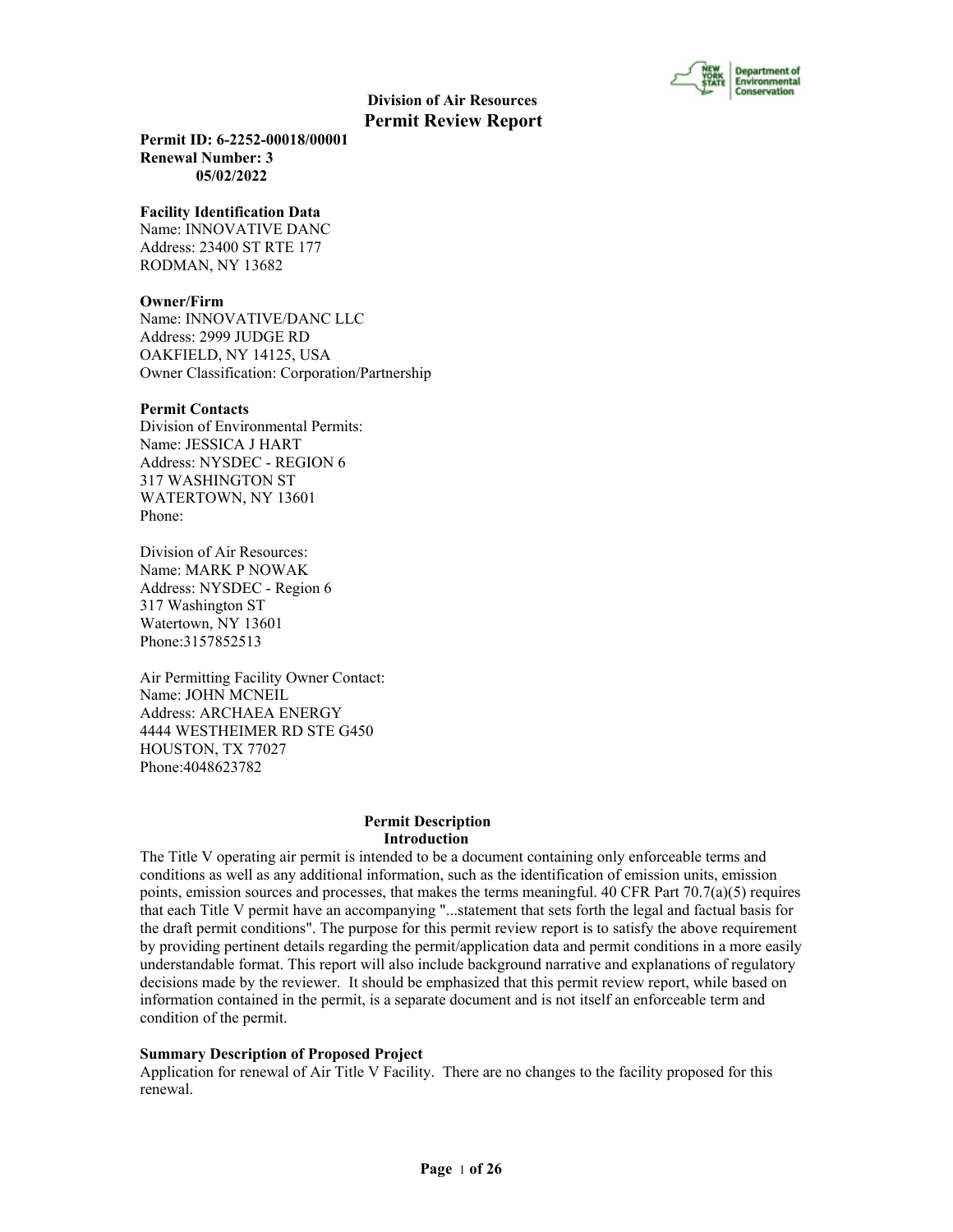

**Permit ID: 6-2252-00018/00001 Renewal Number: 3 05/02/2022**

#### **Facility Identification Data**

Name: INNOVATIVE DANC Address: 23400 ST RTE 177 RODMAN, NY 13682

#### **Owner/Firm**

Name: INNOVATIVE/DANC LLC Address: 2999 JUDGE RD OAKFIELD, NY 14125, USA Owner Classification: Corporation/Partnership

#### **Permit Contacts**

Division of Environmental Permits: Name: JESSICA J HART Address: NYSDEC - REGION 6 317 WASHINGTON ST WATERTOWN, NY 13601 Phone:

Division of Air Resources: Name: MARK P NOWAK Address: NYSDEC - Region 6 317 Washington ST Watertown, NY 13601 Phone:3157852513

Air Permitting Facility Owner Contact: Name: JOHN MCNEIL Address: ARCHAEA ENERGY 4444 WESTHEIMER RD STE G450 HOUSTON, TX 77027 Phone:4048623782

#### **Permit Description Introduction**

The Title V operating air permit is intended to be a document containing only enforceable terms and conditions as well as any additional information, such as the identification of emission units, emission points, emission sources and processes, that makes the terms meaningful. 40 CFR Part  $70.7(a)(5)$  requires that each Title V permit have an accompanying "...statement that sets forth the legal and factual basis for the draft permit conditions". The purpose for this permit review report is to satisfy the above requirement by providing pertinent details regarding the permit/application data and permit conditions in a more easily understandable format. This report will also include background narrative and explanations of regulatory decisions made by the reviewer. It should be emphasized that this permit review report, while based on information contained in the permit, is a separate document and is not itself an enforceable term and condition of the permit.

#### **Summary Description of Proposed Project**

Application for renewal of Air Title V Facility. There are no changes to the facility proposed for this renewal.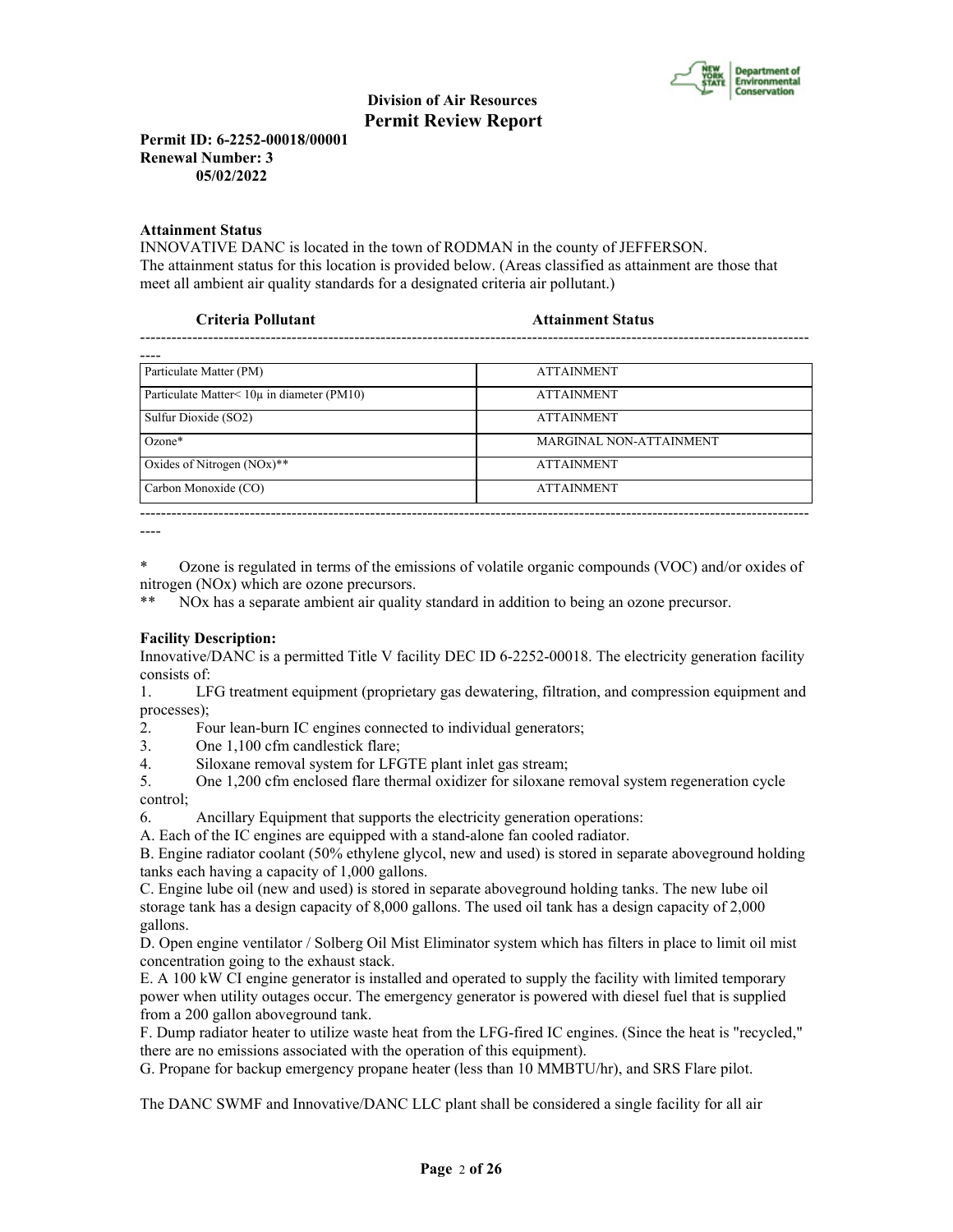

**Permit ID: 6-2252-00018/00001 Renewal Number: 3 05/02/2022**

#### **Attainment Status**

INNOVATIVE DANC is located in the town of RODMAN in the county of JEFFERSON. The attainment status for this location is provided below. (Areas classified as attainment are those that meet all ambient air quality standards for a designated criteria air pollutant.)

| <b>Eriteria Pollutant</b> | <b>Attainment Status</b> |
|---------------------------|--------------------------|
|                           |                          |

| Particulate Matter (PM)                    | <b>ATTAINMENT</b>       |
|--------------------------------------------|-------------------------|
| Particulate Matter< 10µ in diameter (PM10) | <b>ATTAINMENT</b>       |
| Sulfur Dioxide (SO2)                       | <b>ATTAINMENT</b>       |
| $Ozone*$                                   | MARGINAL NON-ATTAINMENT |
| Oxides of Nitrogen $(NOx)$ **              | <b>ATTAINMENT</b>       |
| Carbon Monoxide (CO)                       | <b>ATTAINMENT</b>       |
|                                            |                         |

----

\* Ozone is regulated in terms of the emissions of volatile organic compounds (VOC) and/or oxides of nitrogen (NOx) which are ozone precursors.

NOx has a separate ambient air quality standard in addition to being an ozone precursor.

# **Facility Description:**

Innovative/DANC is a permitted Title V facility DEC ID 6-2252-00018. The electricity generation facility consists of:

1. LFG treatment equipment (proprietary gas dewatering, filtration, and compression equipment and processes);

2. Four lean-burn IC engines connected to individual generators;

3. One 1,100 cfm candlestick flare;

4. Siloxane removal system for LFGTE plant inlet gas stream;

5. One 1,200 cfm enclosed flare thermal oxidizer for siloxane removal system regeneration cycle control;

6. Ancillary Equipment that supports the electricity generation operations:

A. Each of the IC engines are equipped with a stand-alone fan cooled radiator.

B. Engine radiator coolant (50% ethylene glycol, new and used) is stored in separate aboveground holding tanks each having a capacity of 1,000 gallons.

C. Engine lube oil (new and used) is stored in separate aboveground holding tanks. The new lube oil storage tank has a design capacity of 8,000 gallons. The used oil tank has a design capacity of 2,000 gallons.

D. Open engine ventilator / Solberg Oil Mist Eliminator system which has filters in place to limit oil mist concentration going to the exhaust stack.

E. A 100 kW CI engine generator is installed and operated to supply the facility with limited temporary power when utility outages occur. The emergency generator is powered with diesel fuel that is supplied from a 200 gallon aboveground tank.

F. Dump radiator heater to utilize waste heat from the LFG-fired IC engines. (Since the heat is "recycled," there are no emissions associated with the operation of this equipment).

G. Propane for backup emergency propane heater (less than 10 MMBTU/hr), and SRS Flare pilot.

The DANC SWMF and Innovative/DANC LLC plant shall be considered a single facility for all air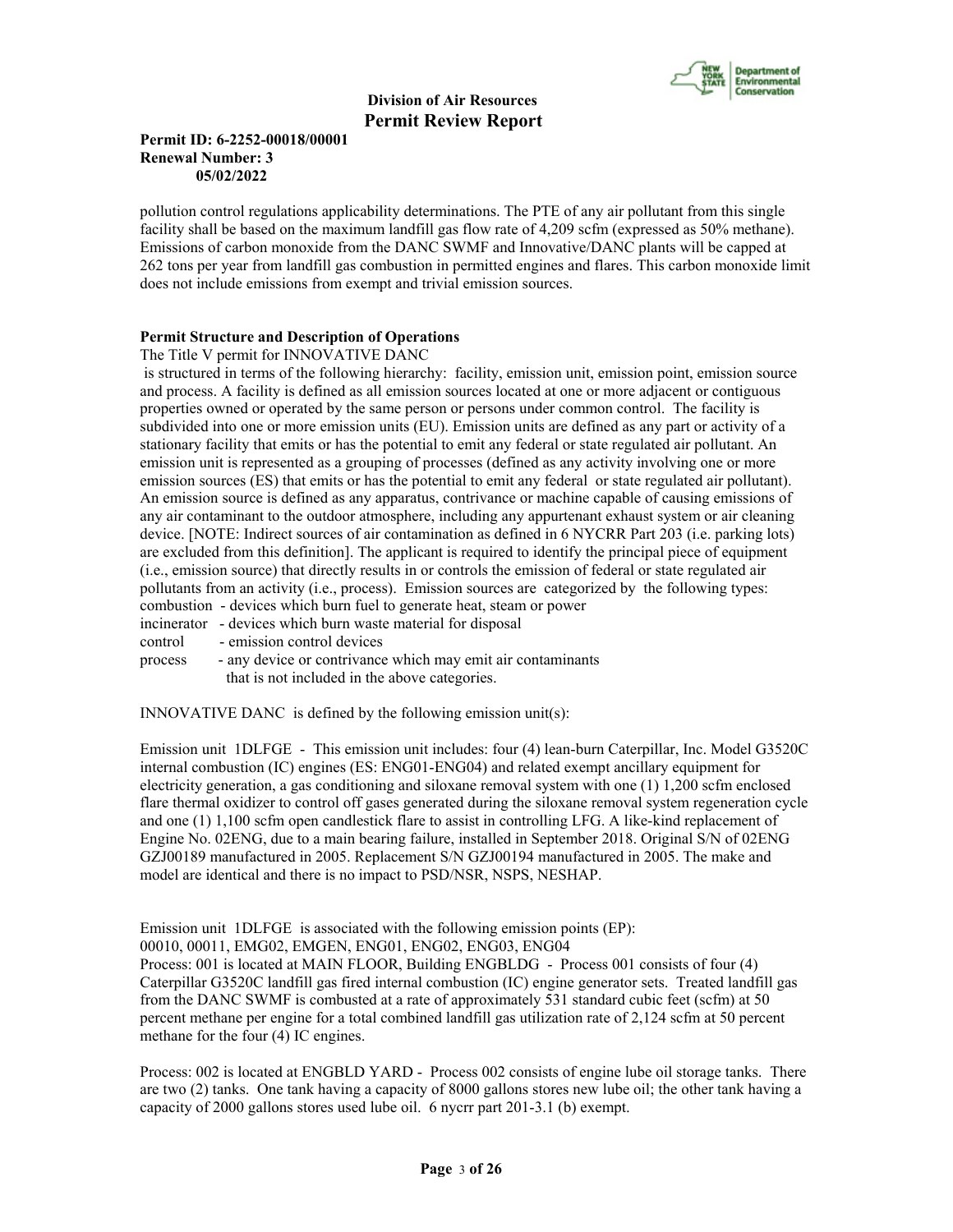

# **Permit ID: 6-2252-00018/00001 Renewal Number: 3 05/02/2022**

pollution control regulations applicability determinations. The PTE of any air pollutant from this single facility shall be based on the maximum landfill gas flow rate of 4,209 scfm (expressed as 50% methane). Emissions of carbon monoxide from the DANC SWMF and Innovative/DANC plants will be capped at 262 tons per year from landfill gas combustion in permitted engines and flares. This carbon monoxide limit does not include emissions from exempt and trivial emission sources.

# **Permit Structure and Description of Operations**

The Title V permit for INNOVATIVE DANC

 is structured in terms of the following hierarchy: facility, emission unit, emission point, emission source and process. A facility is defined as all emission sources located at one or more adjacent or contiguous properties owned or operated by the same person or persons under common control. The facility is subdivided into one or more emission units (EU). Emission units are defined as any part or activity of a stationary facility that emits or has the potential to emit any federal or state regulated air pollutant. An emission unit is represented as a grouping of processes (defined as any activity involving one or more emission sources (ES) that emits or has the potential to emit any federal or state regulated air pollutant). An emission source is defined as any apparatus, contrivance or machine capable of causing emissions of any air contaminant to the outdoor atmosphere, including any appurtenant exhaust system or air cleaning device. [NOTE: Indirect sources of air contamination as defined in 6 NYCRR Part 203 (i.e. parking lots) are excluded from this definition]. The applicant is required to identify the principal piece of equipment (i.e., emission source) that directly results in or controls the emission of federal or state regulated air pollutants from an activity (i.e., process). Emission sources are categorized by the following types: combustion - devices which burn fuel to generate heat, steam or power

incinerator - devices which burn waste material for disposal

control - emission control devices

process - any device or contrivance which may emit air contaminants that is not included in the above categories.

INNOVATIVE DANC is defined by the following emission unit(s):

Emission unit 1DLFGE - This emission unit includes: four (4) lean-burn Caterpillar, Inc. Model G3520C internal combustion (IC) engines (ES: ENG01-ENG04) and related exempt ancillary equipment for electricity generation, a gas conditioning and siloxane removal system with one (1) 1,200 scfm enclosed flare thermal oxidizer to control off gases generated during the siloxane removal system regeneration cycle and one (1) 1,100 scfm open candlestick flare to assist in controlling LFG. A like-kind replacement of Engine No. 02ENG, due to a main bearing failure, installed in September 2018. Original S/N of 02ENG GZJ00189 manufactured in 2005. Replacement S/N GZJ00194 manufactured in 2005. The make and model are identical and there is no impact to PSD/NSR, NSPS, NESHAP.

Emission unit 1DLFGE is associated with the following emission points (EP):

00010, 00011, EMG02, EMGEN, ENG01, ENG02, ENG03, ENG04

Process: 001 is located at MAIN FLOOR, Building ENGBLDG - Process 001 consists of four (4) Caterpillar G3520C landfill gas fired internal combustion (IC) engine generator sets. Treated landfill gas from the DANC SWMF is combusted at a rate of approximately 531 standard cubic feet (scfm) at 50 percent methane per engine for a total combined landfill gas utilization rate of 2,124 scfm at 50 percent methane for the four (4) IC engines.

Process: 002 is located at ENGBLD YARD - Process 002 consists of engine lube oil storage tanks. There are two (2) tanks. One tank having a capacity of 8000 gallons stores new lube oil; the other tank having a capacity of 2000 gallons stores used lube oil. 6 nycrr part 201-3.1 (b) exempt.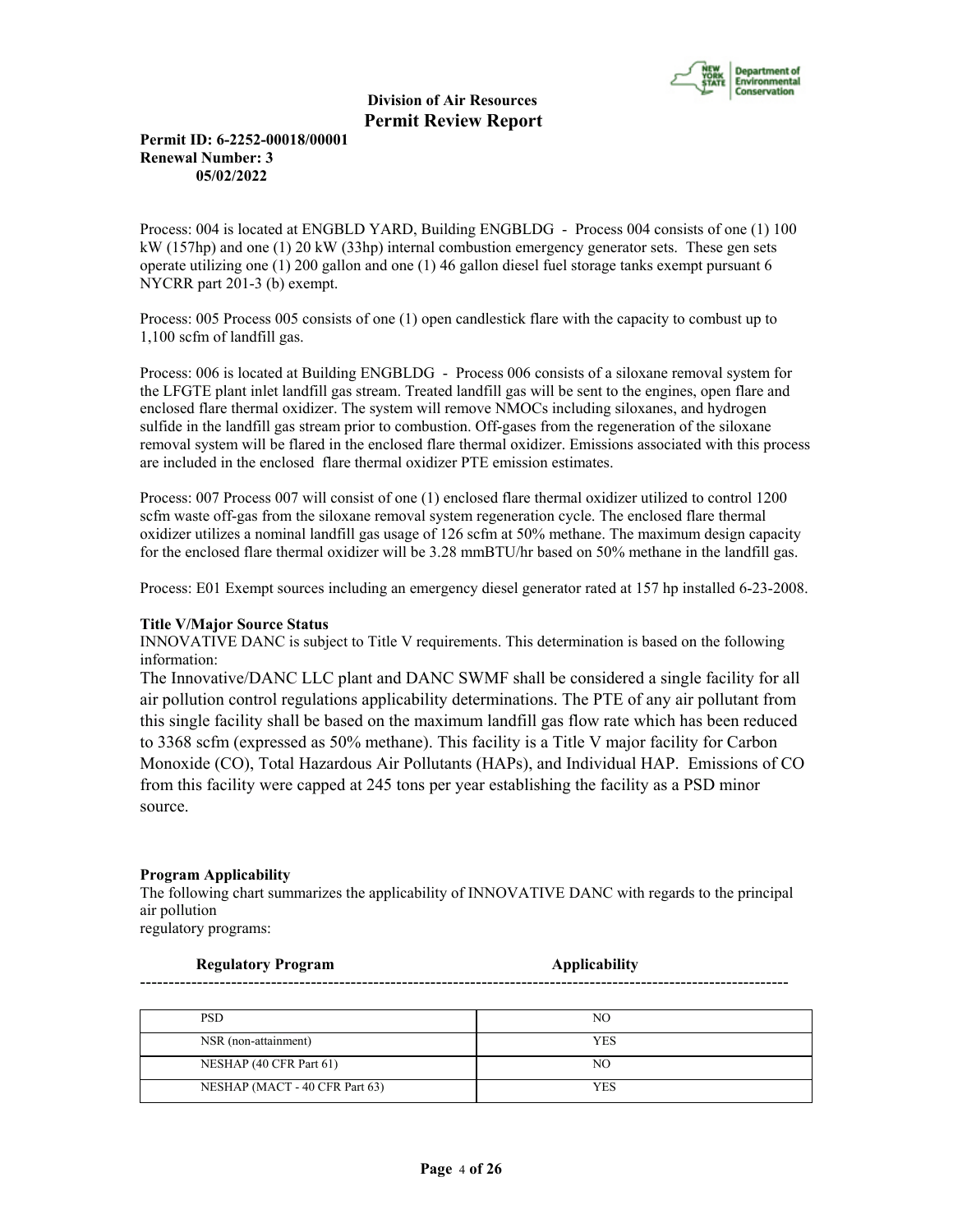

# **Permit ID: 6-2252-00018/00001 Renewal Number: 3 05/02/2022**

Process: 004 is located at ENGBLD YARD, Building ENGBLDG - Process 004 consists of one (1) 100 kW (157hp) and one (1) 20 kW (33hp) internal combustion emergency generator sets. These gen sets operate utilizing one (1) 200 gallon and one (1) 46 gallon diesel fuel storage tanks exempt pursuant 6 NYCRR part 201-3 (b) exempt.

Process: 005 Process 005 consists of one (1) open candlestick flare with the capacity to combust up to 1,100 scfm of landfill gas.

Process: 006 is located at Building ENGBLDG - Process 006 consists of a siloxane removal system for the LFGTE plant inlet landfill gas stream. Treated landfill gas will be sent to the engines, open flare and enclosed flare thermal oxidizer. The system will remove NMOCs including siloxanes, and hydrogen sulfide in the landfill gas stream prior to combustion. Off-gases from the regeneration of the siloxane removal system will be flared in the enclosed flare thermal oxidizer. Emissions associated with this process are included in the enclosed flare thermal oxidizer PTE emission estimates.

Process: 007 Process 007 will consist of one (1) enclosed flare thermal oxidizer utilized to control 1200 scfm waste off-gas from the siloxane removal system regeneration cycle. The enclosed flare thermal oxidizer utilizes a nominal landfill gas usage of 126 scfm at 50% methane. The maximum design capacity for the enclosed flare thermal oxidizer will be 3.28 mmBTU/hr based on 50% methane in the landfill gas.

Process: E01 Exempt sources including an emergency diesel generator rated at 157 hp installed 6-23-2008.

# **Title V/Major Source Status**

INNOVATIVE DANC is subject to Title V requirements. This determination is based on the following information:

The Innovative/DANC LLC plant and DANC SWMF shall be considered a single facility for all air pollution control regulations applicability determinations. The PTE of any air pollutant from this single facility shall be based on the maximum landfill gas flow rate which has been reduced to 3368 scfm (expressed as 50% methane). This facility is a Title V major facility for Carbon Monoxide (CO), Total Hazardous Air Pollutants (HAPs), and Individual HAP. Emissions of CO from this facility were capped at 245 tons per year establishing the facility as a PSD minor source.

# **Program Applicability**

The following chart summarizes the applicability of INNOVATIVE DANC with regards to the principal air pollution

------------------------------------------------------------------------------------------------------------------

regulatory programs:

**Regulatory Program Applicability** 

| <b>PSD</b>                     | NO         |
|--------------------------------|------------|
| NSR (non-attainment)           | <b>YES</b> |
| NESHAP (40 CFR Part 61)        | NO         |
| NESHAP (MACT - 40 CFR Part 63) | YES        |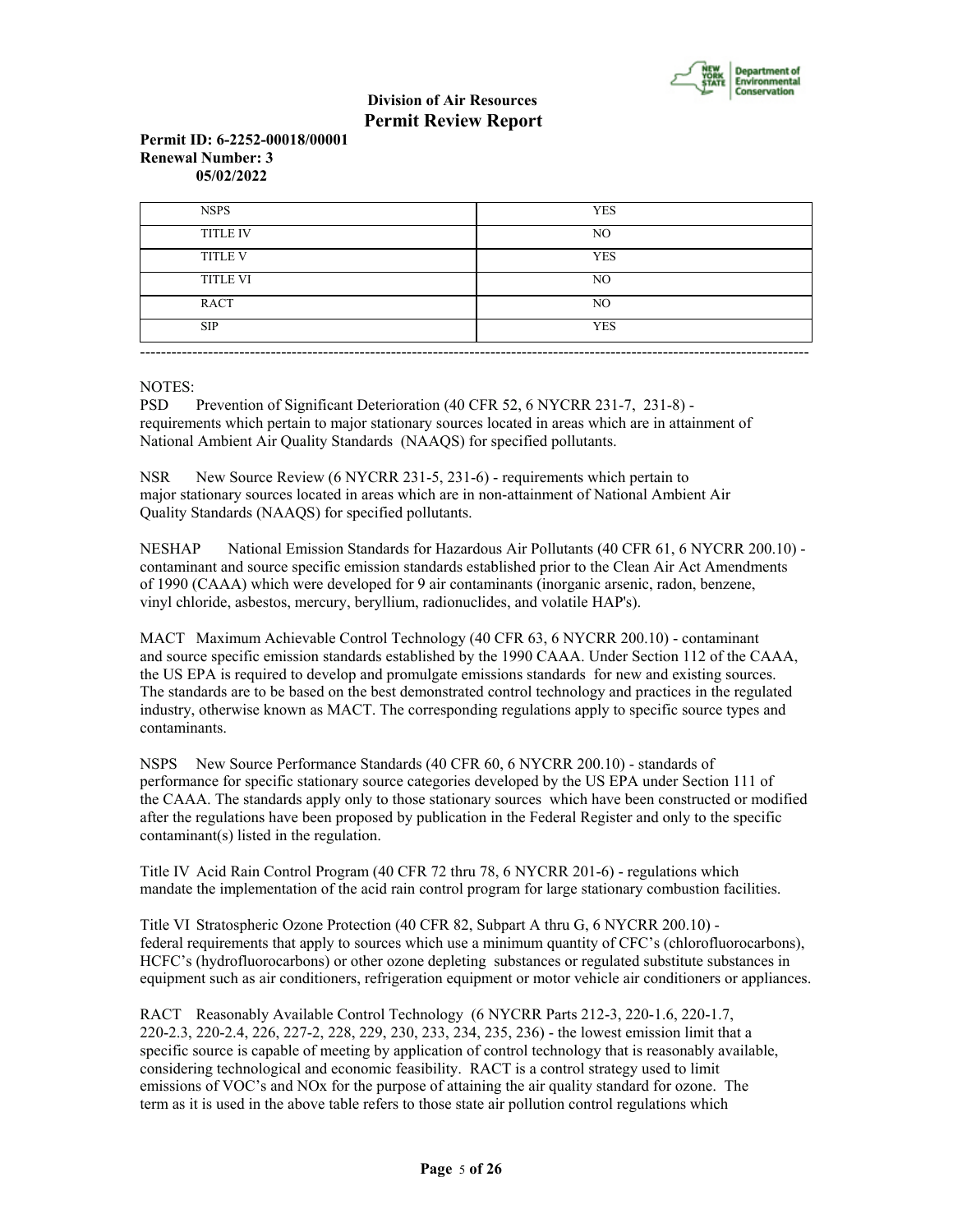

## **Permit ID: 6-2252-00018/00001 Renewal Number: 3 05/02/2022**

| <b>NSPS</b>     | <b>YES</b>     |
|-----------------|----------------|
| <b>TITLE IV</b> | N <sub>O</sub> |
| <b>TITLE V</b>  | <b>YES</b>     |
| <b>TITLE VI</b> | N <sub>O</sub> |
| RACT            | N <sub>O</sub> |
| <b>SIP</b>      | <b>YES</b>     |

NOTES:

PSD Prevention of Significant Deterioration (40 CFR 52, 6 NYCRR 231-7, 231-8) requirements which pertain to major stationary sources located in areas which are in attainment of National Ambient Air Quality Standards (NAAQS) for specified pollutants.

NSR New Source Review (6 NYCRR 231-5, 231-6) - requirements which pertain to major stationary sources located in areas which are in non-attainment of National Ambient Air Quality Standards (NAAQS) for specified pollutants.

NESHAP National Emission Standards for Hazardous Air Pollutants (40 CFR 61, 6 NYCRR 200.10) contaminant and source specific emission standards established prior to the Clean Air Act Amendments of 1990 (CAAA) which were developed for 9 air contaminants (inorganic arsenic, radon, benzene, vinyl chloride, asbestos, mercury, beryllium, radionuclides, and volatile HAP's).

MACT Maximum Achievable Control Technology (40 CFR 63, 6 NYCRR 200.10) - contaminant and source specific emission standards established by the 1990 CAAA. Under Section 112 of the CAAA, the US EPA is required to develop and promulgate emissions standards for new and existing sources. The standards are to be based on the best demonstrated control technology and practices in the regulated industry, otherwise known as MACT. The corresponding regulations apply to specific source types and contaminants.

NSPS New Source Performance Standards (40 CFR 60, 6 NYCRR 200.10) - standards of performance for specific stationary source categories developed by the US EPA under Section 111 of the CAAA. The standards apply only to those stationary sources which have been constructed or modified after the regulations have been proposed by publication in the Federal Register and only to the specific contaminant(s) listed in the regulation.

Title IV Acid Rain Control Program (40 CFR 72 thru 78, 6 NYCRR 201-6) - regulations which mandate the implementation of the acid rain control program for large stationary combustion facilities.

Title VI Stratospheric Ozone Protection (40 CFR 82, Subpart A thru G, 6 NYCRR 200.10) federal requirements that apply to sources which use a minimum quantity of CFC's (chlorofluorocarbons), HCFC's (hydrofluorocarbons) or other ozone depleting substances or regulated substitute substances in equipment such as air conditioners, refrigeration equipment or motor vehicle air conditioners or appliances.

RACT Reasonably Available Control Technology (6 NYCRR Parts 212-3, 220-1.6, 220-1.7, 220-2.3, 220-2.4, 226, 227-2, 228, 229, 230, 233, 234, 235, 236) - the lowest emission limit that a specific source is capable of meeting by application of control technology that is reasonably available, considering technological and economic feasibility. RACT is a control strategy used to limit emissions of VOC's and NOx for the purpose of attaining the air quality standard for ozone. The term as it is used in the above table refers to those state air pollution control regulations which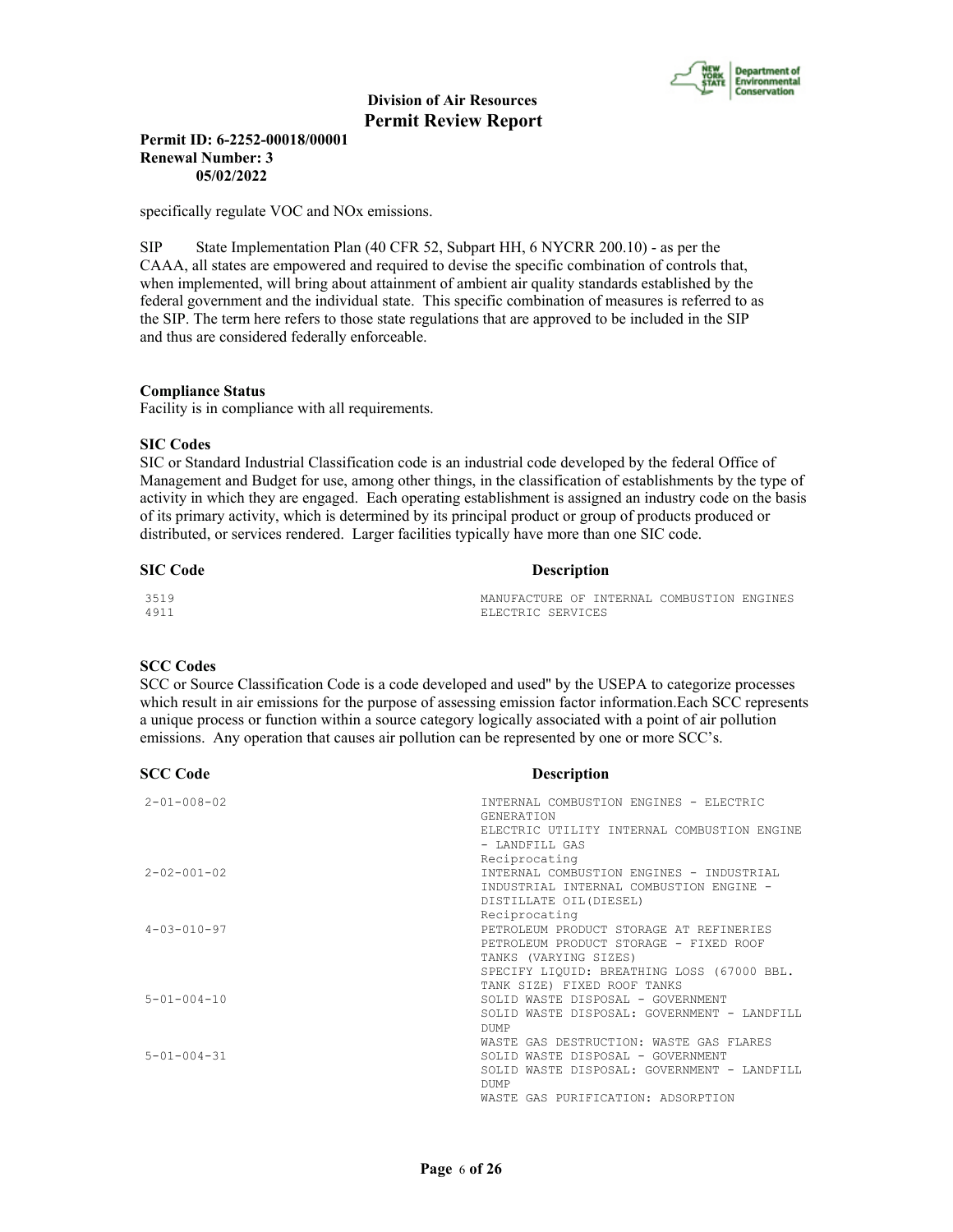

# **Permit ID: 6-2252-00018/00001 Renewal Number: 3 05/02/2022**

specifically regulate VOC and NOx emissions.

SIP State Implementation Plan (40 CFR 52, Subpart HH, 6 NYCRR 200.10) - as per the CAAA, all states are empowered and required to devise the specific combination of controls that, when implemented, will bring about attainment of ambient air quality standards established by the federal government and the individual state. This specific combination of measures is referred to as the SIP. The term here refers to those state regulations that are approved to be included in the SIP and thus are considered federally enforceable.

#### **Compliance Status**

Facility is in compliance with all requirements.

#### **SIC Codes**

SIC or Standard Industrial Classification code is an industrial code developed by the federal Office of Management and Budget for use, among other things, in the classification of establishments by the type of activity in which they are engaged. Each operating establishment is assigned an industry code on the basis of its primary activity, which is determined by its principal product or group of products produced or distributed, or services rendered. Larger facilities typically have more than one SIC code.

| <b>SIC Code</b> | <b>Description</b>                         |
|-----------------|--------------------------------------------|
| 3519            | MANUFACTURE OF INTERNAL COMBUSTION ENGINES |
| 4911            | ELECTRIC SERVICES                          |

# **SCC Codes**

SCC or Source Classification Code is a code developed and used'' by the USEPA to categorize processes which result in air emissions for the purpose of assessing emission factor information.Each SCC represents a unique process or function within a source category logically associated with a point of air pollution emissions. Any operation that causes air pollution can be represented by one or more SCC's.

| <b>SCC Code</b>     | <b>Description</b>                                            |
|---------------------|---------------------------------------------------------------|
| $2 - 01 - 008 - 02$ | INTERNAL COMBUSTION ENGINES - ELECTRIC<br><b>GENERATION</b>   |
|                     | ELECTRIC UTILITY INTERNAL COMBUSTION ENGINE<br>- LANDFILL GAS |
|                     | Reciprocating                                                 |
| $2 - 02 - 001 - 02$ | INTERNAL COMBUSTION ENGINES - INDUSTRIAL                      |
|                     | INDUSTRIAL INTERNAL COMBUSTION ENGINE -                       |
|                     | DISTILLATE OIL (DIESEL)                                       |
|                     | Reciprocating                                                 |
| $4 - 03 - 010 - 97$ | PETROLEUM PRODUCT STORAGE AT REFINERIES                       |
|                     | PETROLEUM PRODUCT STORAGE - FIXED ROOF                        |
|                     | TANKS (VARYING SIZES)                                         |
|                     | SPECIFY LIQUID: BREATHING LOSS (67000 BBL.                    |
|                     | TANK SIZE) FIXED ROOF TANKS                                   |
| $5 - 01 - 004 - 10$ | SOLID WASTE DISPOSAL - GOVERNMENT                             |
|                     | SOLID WASTE DISPOSAL: GOVERNMENT - LANDFILL                   |
|                     | <b>DUMP</b>                                                   |
|                     | WASTE GAS DESTRUCTION: WASTE GAS FLARES                       |
| $5 - 01 - 004 - 31$ | SOLID WASTE DISPOSAL - GOVERNMENT                             |
|                     | SOLID WASTE DISPOSAL: GOVERNMENT - LANDFILL                   |
|                     | <b>DUMP</b>                                                   |
|                     | WASTE GAS PURIFICATION: ADSORPTION                            |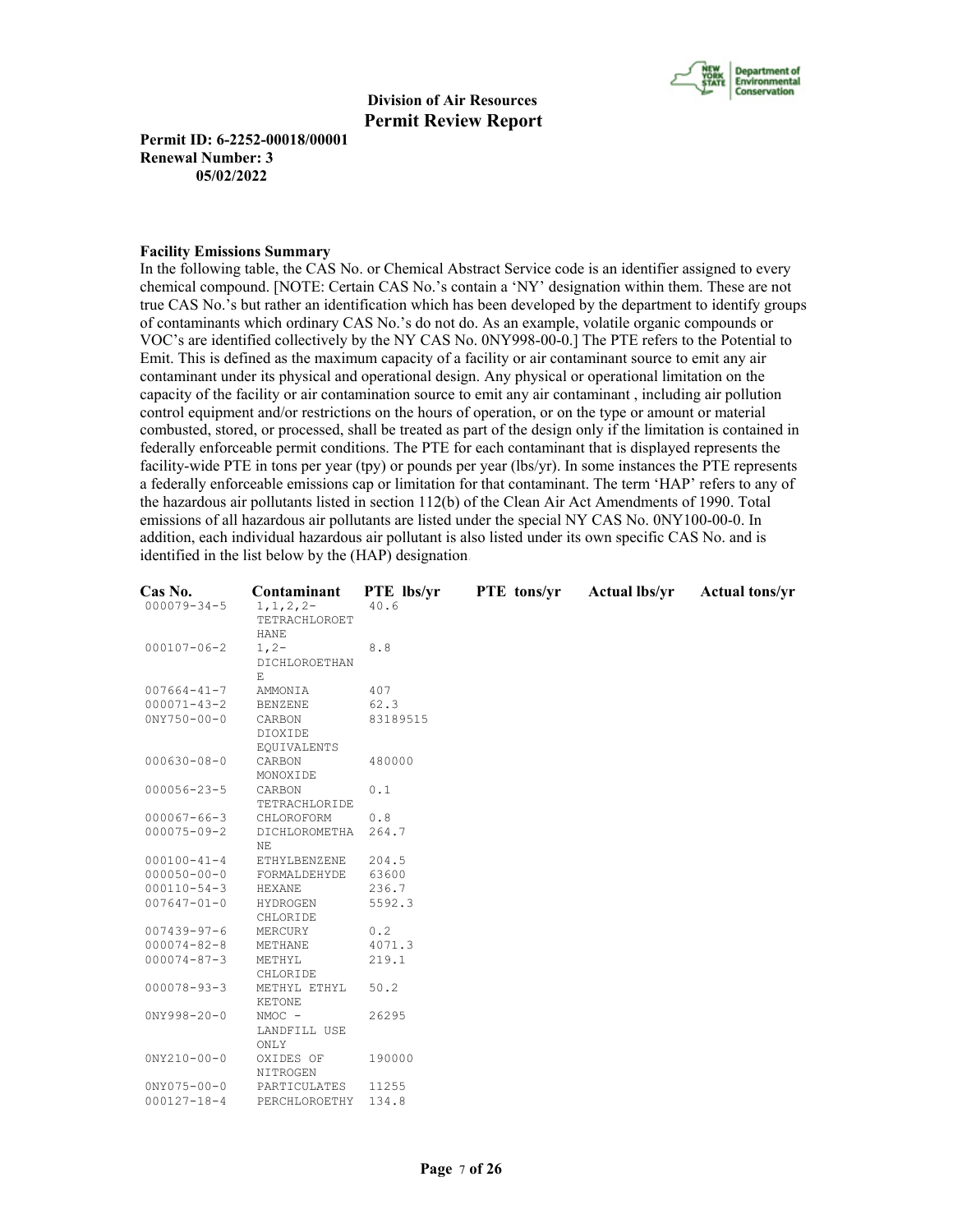

**Permit ID: 6-2252-00018/00001 Renewal Number: 3 05/02/2022**

#### **Facility Emissions Summary**

In the following table, the CAS No. or Chemical Abstract Service code is an identifier assigned to every chemical compound. [NOTE: Certain CAS No.'s contain a 'NY' designation within them. These are not true CAS No.'s but rather an identification which has been developed by the department to identify groups of contaminants which ordinary CAS No.'s do not do. As an example, volatile organic compounds or VOC's are identified collectively by the NY CAS No. 0NY998-00-0.] The PTE refers to the Potential to Emit. This is defined as the maximum capacity of a facility or air contaminant source to emit any air contaminant under its physical and operational design. Any physical or operational limitation on the capacity of the facility or air contamination source to emit any air contaminant , including air pollution control equipment and/or restrictions on the hours of operation, or on the type or amount or material combusted, stored, or processed, shall be treated as part of the design only if the limitation is contained in federally enforceable permit conditions. The PTE for each contaminant that is displayed represents the facility-wide PTE in tons per year (tpy) or pounds per year (lbs/yr). In some instances the PTE represents a federally enforceable emissions cap or limitation for that contaminant. The term 'HAP' refers to any of the hazardous air pollutants listed in section 112(b) of the Clean Air Act Amendments of 1990. Total emissions of all hazardous air pollutants are listed under the special NY CAS No. 0NY100-00-0. In addition, each individual hazardous air pollutant is also listed under its own specific CAS No. and is identified in the list below by the (HAP) designation.

| Cas No.           | Contaminant    | PTE lbs/yr | PTE tons/yr | <b>Actual lbs/yr</b> | <b>Actual tons/yr</b> |
|-------------------|----------------|------------|-------------|----------------------|-----------------------|
| $000079 - 34 - 5$ | $1, 1, 2, 2-$  | 40.6       |             |                      |                       |
|                   | TETRACHLOROET  |            |             |                      |                       |
|                   | <b>HANE</b>    |            |             |                      |                       |
| $000107 - 06 - 2$ | $1, 2-$        | 8.8        |             |                      |                       |
|                   | DICHLOROETHAN  |            |             |                      |                       |
|                   | F.             |            |             |                      |                       |
| $007664 - 41 - 7$ | AMMONIA        | 407        |             |                      |                       |
| $000071 - 43 - 2$ | <b>BENZENE</b> | 62.3       |             |                      |                       |
| $0NY750 - 00 - 0$ | CARBON         | 83189515   |             |                      |                       |
|                   | DIOXIDE        |            |             |                      |                       |
|                   | EQUIVALENTS    |            |             |                      |                       |
| $000630 - 08 - 0$ | CARBON         | 480000     |             |                      |                       |
|                   | MONOXIDE       |            |             |                      |                       |
| $000056 - 23 - 5$ | CARBON         | 0.1        |             |                      |                       |
|                   | TETRACHLORIDE  |            |             |                      |                       |
| $000067 - 66 - 3$ | CHLOROFORM     | 0.8        |             |                      |                       |
| $000075 - 09 - 2$ | DICHLOROMETHA  | 264.7      |             |                      |                       |
|                   | NE             |            |             |                      |                       |
| $000100 - 41 - 4$ | ETHYLBENZENE   | 204.5      |             |                      |                       |
| $000050 - 00 - 0$ | FORMALDEHYDE   | 63600      |             |                      |                       |
| $000110 - 54 - 3$ | HEXANE         | 236.7      |             |                      |                       |
| $007647 - 01 - 0$ | HYDROGEN       | 5592.3     |             |                      |                       |
|                   | CHLORIDE       |            |             |                      |                       |
| $007439 - 97 - 6$ | MERCURY        | 0.2        |             |                      |                       |
| $000074 - 82 - 8$ | METHANE        | 4071.3     |             |                      |                       |
| $000074 - 87 - 3$ | METHYL         | 219.1      |             |                      |                       |
|                   | CHLORIDE       |            |             |                      |                       |
| $000078 - 93 - 3$ | METHYL ETHYL   | 50.2       |             |                      |                       |
|                   | KETONE         |            |             |                      |                       |
| $0NY998 - 20 - 0$ | $NMOC -$       | 26295      |             |                      |                       |
|                   | LANDFILL USE   |            |             |                      |                       |
|                   | ONLY           |            |             |                      |                       |
| $0NY210-00-0$     | OXIDES OF      | 190000     |             |                      |                       |
|                   | NITROGEN       |            |             |                      |                       |
| $0NY075 - 00 - 0$ | PARTICULATES   | 11255      |             |                      |                       |
| $000127 - 18 - 4$ | PERCHLOROETHY  | 134.8      |             |                      |                       |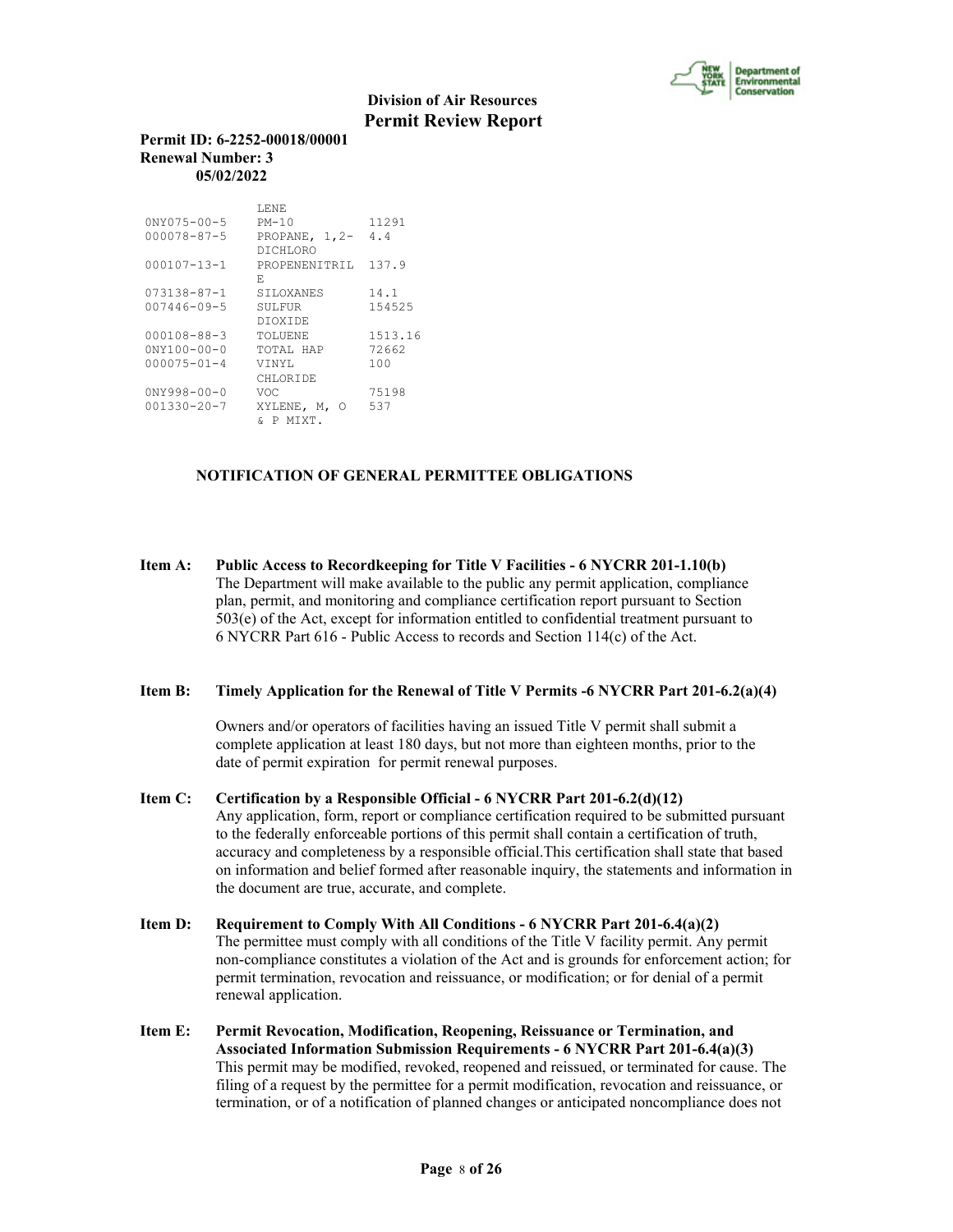

#### **Permit ID: 6-2252-00018/00001 Renewal Number: 3 05/02/2022**

|                    | T.ENE            |         |
|--------------------|------------------|---------|
| $0NY075 - 00 - 5$  | $PM-10$          | 11291   |
| 000078-87-5        | PROPANE, $1, 2-$ | 4.4     |
|                    | DTCHLORO         |         |
| $000107 - 13 - 1$  | PROPENENTTRIL    | 137.9   |
|                    | F.               |         |
| 073138-87-1        | <b>STLOXANES</b> | 14.1    |
| $007446 - 09 - 5$  | SULFUR.          | 154525  |
|                    | <b>DIOXIDE</b>   |         |
| $000108 - 88 - 3$  | TOLUENE          | 1513.16 |
| $0'NY100 - 00 - 0$ | TOTAL HAP        | 72662   |
| $000075 - 01 - 4$  | VTNYL            | 100     |
|                    | CHLORTDE         |         |
| $0NY998 - 00 - 0$  | VOC              | 75198   |
| $001330 - 20 - 7$  | XYLENE, M,<br>Ω  | 537     |
|                    | & P MTXT.        |         |

# **NOTIFICATION OF GENERAL PERMITTEE OBLIGATIONS**

**Item A: Public Access to Recordkeeping for Title V Facilities - 6 NYCRR 201-1.10(b)** The Department will make available to the public any permit application, compliance plan, permit, and monitoring and compliance certification report pursuant to Section 503(e) of the Act, except for information entitled to confidential treatment pursuant to 6 NYCRR Part 616 - Public Access to records and Section 114(c) of the Act.

## **Item B: Timely Application for the Renewal of Title V Permits -6 NYCRR Part 201-6.2(a)(4)**

 Owners and/or operators of facilities having an issued Title V permit shall submit a complete application at least 180 days, but not more than eighteen months, prior to the date of permit expiration for permit renewal purposes.

- **Item C: Certification by a Responsible Official 6 NYCRR Part 201-6.2(d)(12)** Any application, form, report or compliance certification required to be submitted pursuant to the federally enforceable portions of this permit shall contain a certification of truth, accuracy and completeness by a responsible official.This certification shall state that based on information and belief formed after reasonable inquiry, the statements and information in the document are true, accurate, and complete.
- **Item D: Requirement to Comply With All Conditions 6 NYCRR Part 201-6.4(a)(2)** The permittee must comply with all conditions of the Title V facility permit. Any permit non-compliance constitutes a violation of the Act and is grounds for enforcement action; for permit termination, revocation and reissuance, or modification; or for denial of a permit renewal application.
- **Item E: Permit Revocation, Modification, Reopening, Reissuance or Termination, and Associated Information Submission Requirements - 6 NYCRR Part 201-6.4(a)(3)** This permit may be modified, revoked, reopened and reissued, or terminated for cause. The filing of a request by the permittee for a permit modification, revocation and reissuance, or termination, or of a notification of planned changes or anticipated noncompliance does not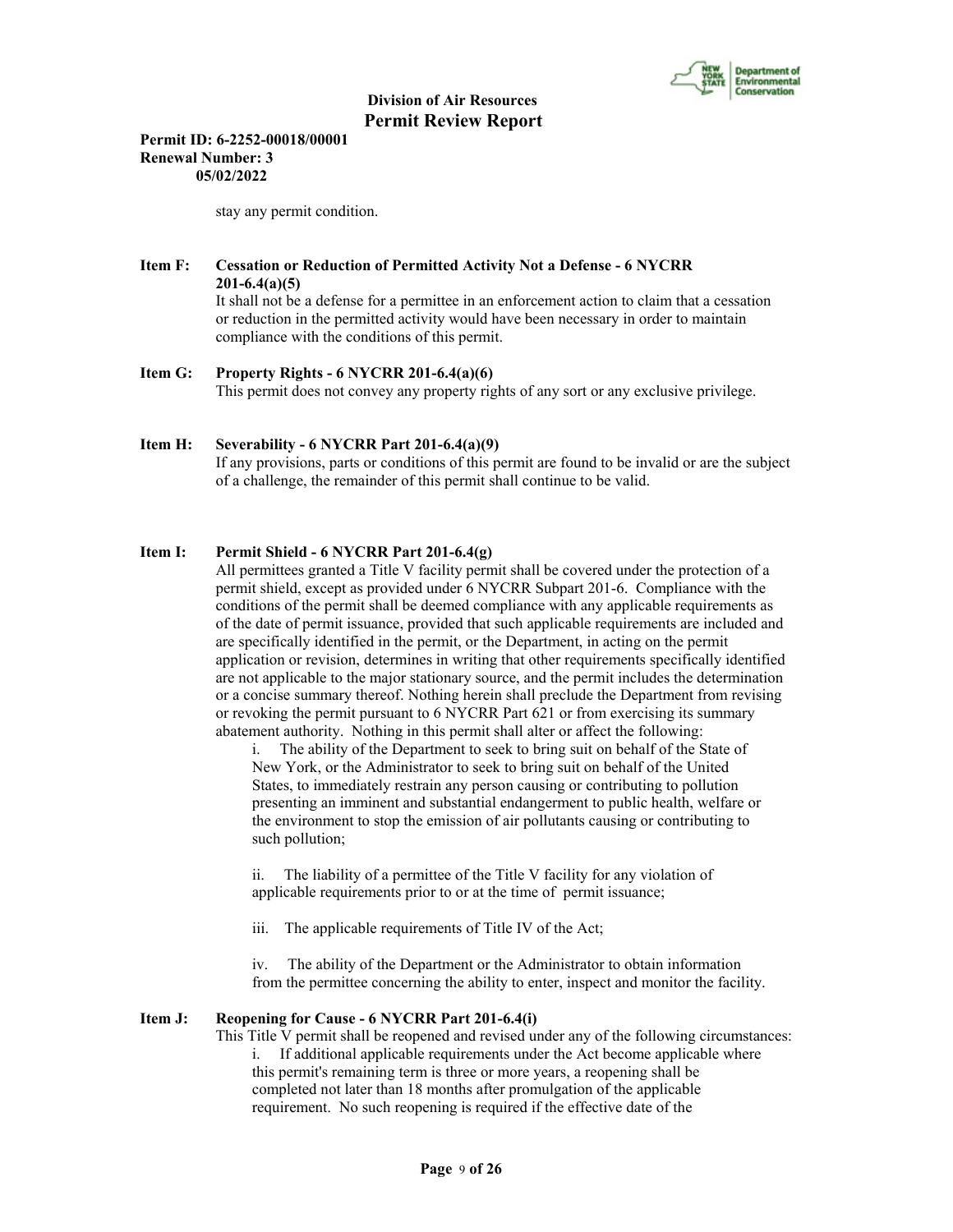

**Permit ID: 6-2252-00018/00001 Renewal Number: 3 05/02/2022**

stay any permit condition.

# **Item F: Cessation or Reduction of Permitted Activity Not a Defense - 6 NYCRR 201-6.4(a)(5)**

 It shall not be a defense for a permittee in an enforcement action to claim that a cessation or reduction in the permitted activity would have been necessary in order to maintain compliance with the conditions of this permit.

#### **Item G: Property Rights - 6 NYCRR 201-6.4(a)(6)**

This permit does not convey any property rights of any sort or any exclusive privilege.

## **Item H: Severability - 6 NYCRR Part 201-6.4(a)(9)**

 If any provisions, parts or conditions of this permit are found to be invalid or are the subject of a challenge, the remainder of this permit shall continue to be valid.

# **Item I: Permit Shield - 6 NYCRR Part 201-6.4(g)**

 All permittees granted a Title V facility permit shall be covered under the protection of a permit shield, except as provided under 6 NYCRR Subpart 201-6. Compliance with the conditions of the permit shall be deemed compliance with any applicable requirements as of the date of permit issuance, provided that such applicable requirements are included and are specifically identified in the permit, or the Department, in acting on the permit application or revision, determines in writing that other requirements specifically identified are not applicable to the major stationary source, and the permit includes the determination or a concise summary thereof. Nothing herein shall preclude the Department from revising or revoking the permit pursuant to 6 NYCRR Part 621 or from exercising its summary abatement authority. Nothing in this permit shall alter or affect the following:

i. The ability of the Department to seek to bring suit on behalf of the State of New York, or the Administrator to seek to bring suit on behalf of the United States, to immediately restrain any person causing or contributing to pollution presenting an imminent and substantial endangerment to public health, welfare or the environment to stop the emission of air pollutants causing or contributing to such pollution;

ii. The liability of a permittee of the Title V facility for any violation of applicable requirements prior to or at the time of permit issuance;

iii. The applicable requirements of Title IV of the Act;

iv. The ability of the Department or the Administrator to obtain information from the permittee concerning the ability to enter, inspect and monitor the facility.

#### **Item J: Reopening for Cause - 6 NYCRR Part 201-6.4(i)**

 This Title V permit shall be reopened and revised under any of the following circumstances: i. If additional applicable requirements under the Act become applicable where this permit's remaining term is three or more years, a reopening shall be completed not later than 18 months after promulgation of the applicable requirement. No such reopening is required if the effective date of the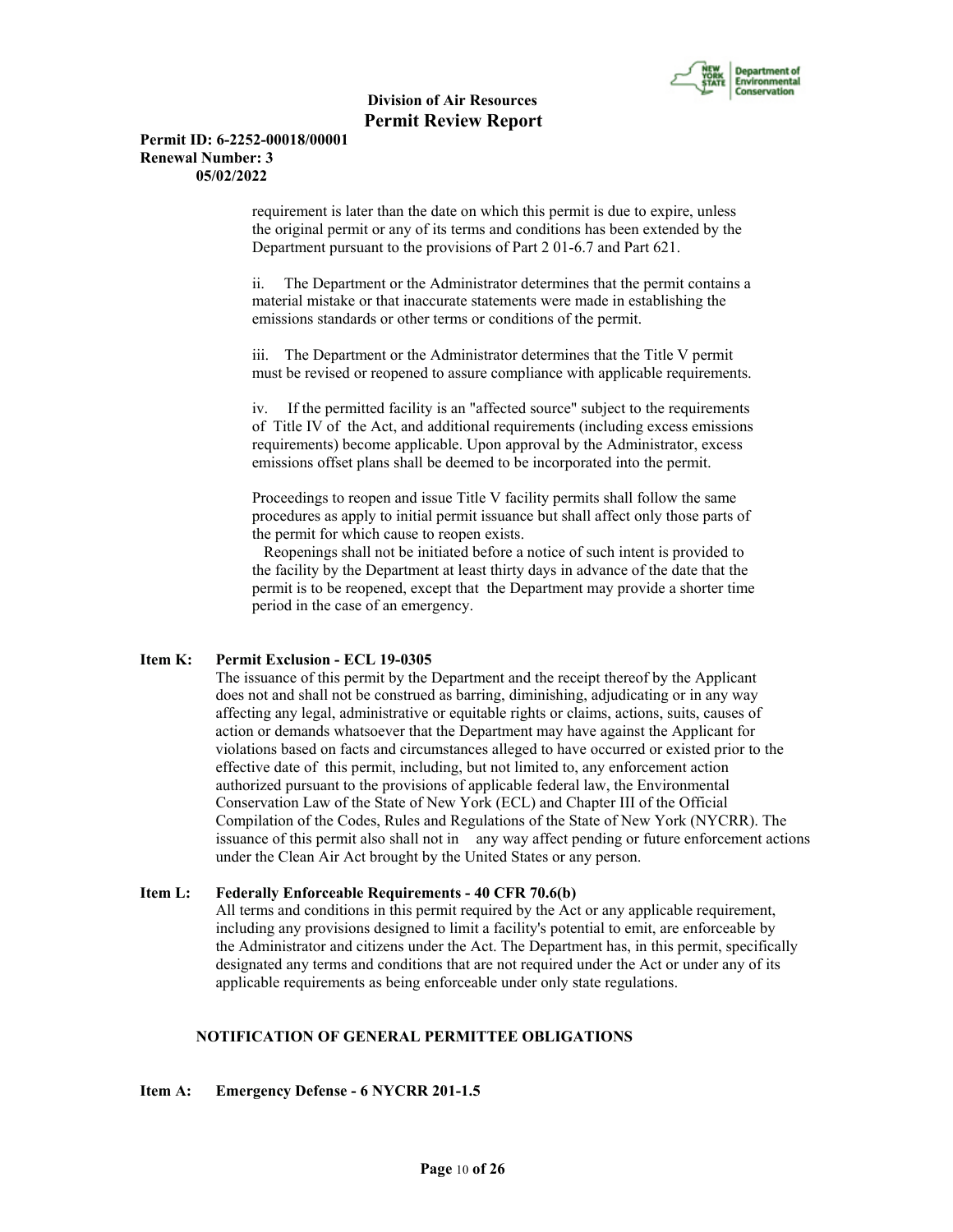

#### **Permit ID: 6-2252-00018/00001 Renewal Number: 3 05/02/2022**

requirement is later than the date on which this permit is due to expire, unless the original permit or any of its terms and conditions has been extended by the Department pursuant to the provisions of Part 2 01-6.7 and Part 621.

ii. The Department or the Administrator determines that the permit contains a material mistake or that inaccurate statements were made in establishing the emissions standards or other terms or conditions of the permit.

iii. The Department or the Administrator determines that the Title V permit must be revised or reopened to assure compliance with applicable requirements.

iv. If the permitted facility is an "affected source" subject to the requirements of Title IV of the Act, and additional requirements (including excess emissions requirements) become applicable. Upon approval by the Administrator, excess emissions offset plans shall be deemed to be incorporated into the permit.

Proceedings to reopen and issue Title V facility permits shall follow the same procedures as apply to initial permit issuance but shall affect only those parts of the permit for which cause to reopen exists.

 Reopenings shall not be initiated before a notice of such intent is provided to the facility by the Department at least thirty days in advance of the date that the permit is to be reopened, except that the Department may provide a shorter time period in the case of an emergency.

#### **Item K: Permit Exclusion - ECL 19-0305**

 The issuance of this permit by the Department and the receipt thereof by the Applicant does not and shall not be construed as barring, diminishing, adjudicating or in any way affecting any legal, administrative or equitable rights or claims, actions, suits, causes of action or demands whatsoever that the Department may have against the Applicant for violations based on facts and circumstances alleged to have occurred or existed prior to the effective date of this permit, including, but not limited to, any enforcement action authorized pursuant to the provisions of applicable federal law, the Environmental Conservation Law of the State of New York (ECL) and Chapter III of the Official Compilation of the Codes, Rules and Regulations of the State of New York (NYCRR). The issuance of this permit also shall not in any way affect pending or future enforcement actions under the Clean Air Act brought by the United States or any person.

#### **Item L: Federally Enforceable Requirements - 40 CFR 70.6(b)**

 All terms and conditions in this permit required by the Act or any applicable requirement, including any provisions designed to limit a facility's potential to emit, are enforceable by the Administrator and citizens under the Act. The Department has, in this permit, specifically designated any terms and conditions that are not required under the Act or under any of its applicable requirements as being enforceable under only state regulations.

# **NOTIFICATION OF GENERAL PERMITTEE OBLIGATIONS**

**Item A: Emergency Defense - 6 NYCRR 201-1.5**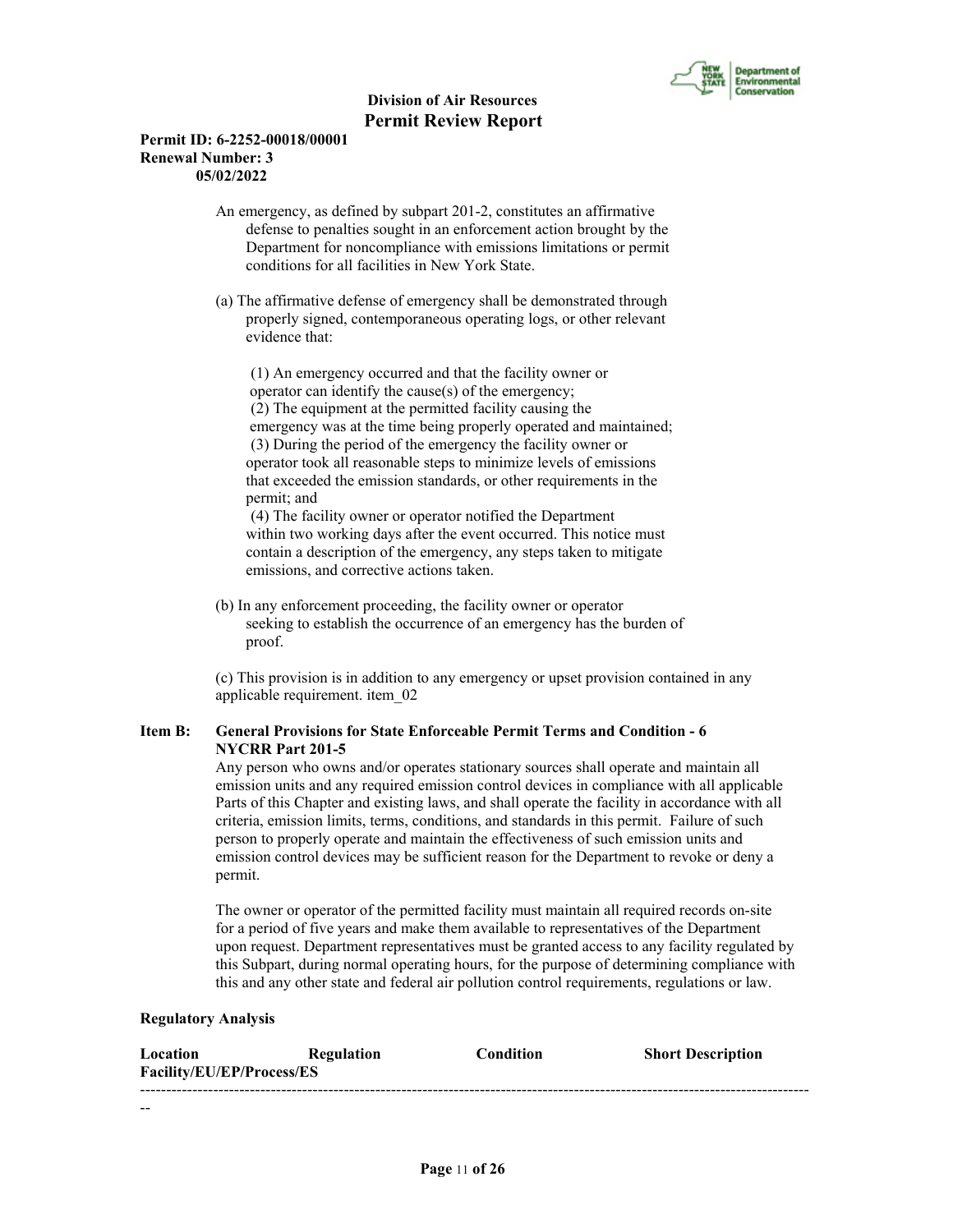

# **Permit ID: 6-2252-00018/00001 Renewal Number: 3 05/02/2022**

 An emergency, as defined by subpart 201-2, constitutes an affirmative defense to penalties sought in an enforcement action brought by the Department for noncompliance with emissions limitations or permit conditions for all facilities in New York State.

 (a) The affirmative defense of emergency shall be demonstrated through properly signed, contemporaneous operating logs, or other relevant evidence that:

 (1) An emergency occurred and that the facility owner or operator can identify the cause(s) of the emergency; (2) The equipment at the permitted facility causing the emergency was at the time being properly operated and maintained; (3) During the period of the emergency the facility owner or operator took all reasonable steps to minimize levels of emissions that exceeded the emission standards, or other requirements in the permit; and

 (4) The facility owner or operator notified the Department within two working days after the event occurred. This notice must contain a description of the emergency, any steps taken to mitigate emissions, and corrective actions taken.

 (b) In any enforcement proceeding, the facility owner or operator seeking to establish the occurrence of an emergency has the burden of proof.

 (c) This provision is in addition to any emergency or upset provision contained in any applicable requirement. item\_02

# **Item B: General Provisions for State Enforceable Permit Terms and Condition - 6 NYCRR Part 201-5**

 Any person who owns and/or operates stationary sources shall operate and maintain all emission units and any required emission control devices in compliance with all applicable Parts of this Chapter and existing laws, and shall operate the facility in accordance with all criteria, emission limits, terms, conditions, and standards in this permit. Failure of such person to properly operate and maintain the effectiveness of such emission units and emission control devices may be sufficient reason for the Department to revoke or deny a permit.

 The owner or operator of the permitted facility must maintain all required records on-site for a period of five years and make them available to representatives of the Department upon request. Department representatives must be granted access to any facility regulated by this Subpart, during normal operating hours, for the purpose of determining compliance with this and any other state and federal air pollution control requirements, regulations or law.

#### **Regulatory Analysis**

| Location                  | Regulation | <b>Condition</b> | <b>Short Description</b> |
|---------------------------|------------|------------------|--------------------------|
| Facility/EU/EP/Process/ES |            |                  |                          |
|                           |            |                  |                          |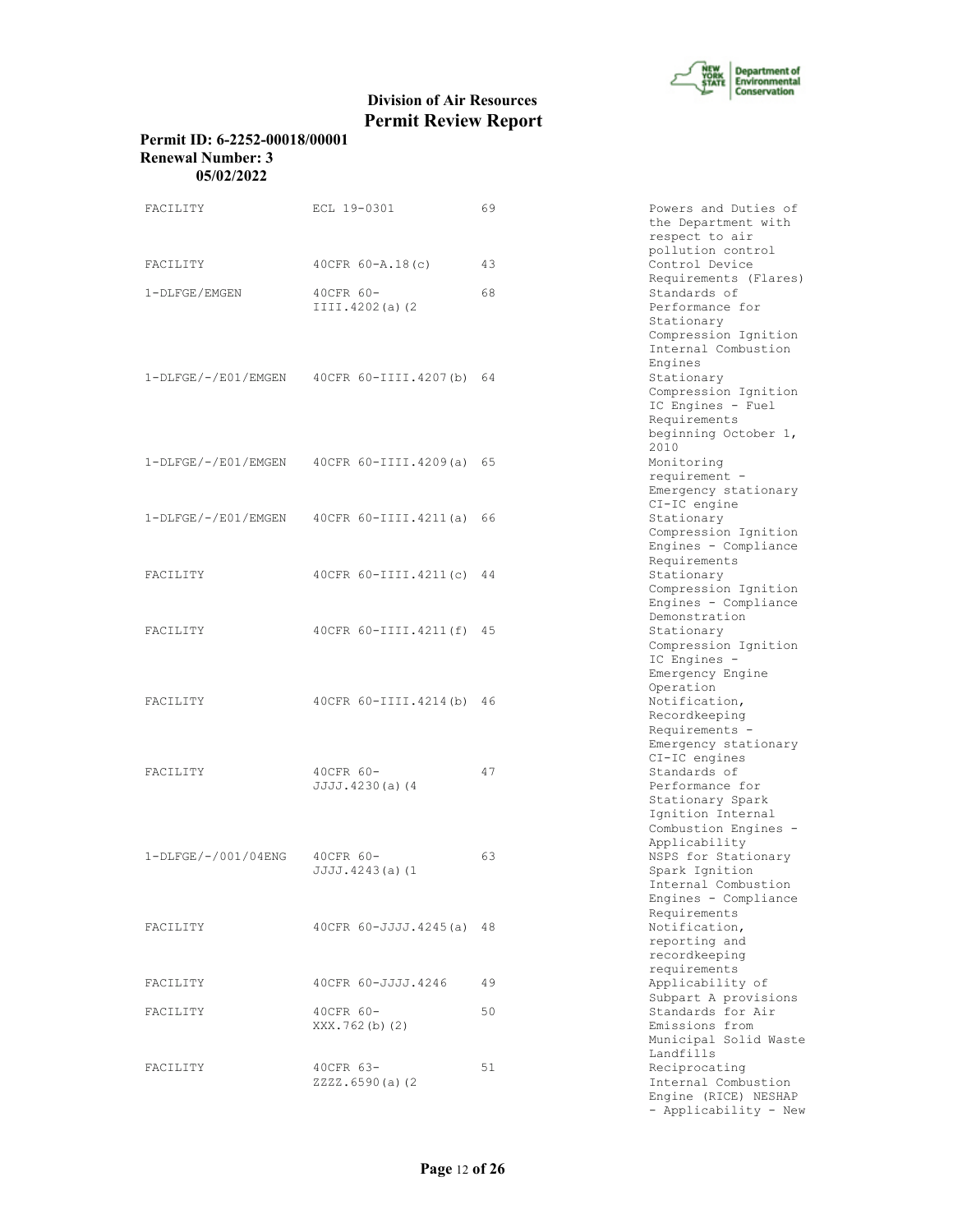

| Permit ID: 6-2252-00018/00001 |
|-------------------------------|
| Renewal Number: 3             |
| 05/02/2022                    |

| FACILITY            | ECL 19-0301                                    | 69 | Powers and Duties of<br>the Department with<br>respect to air                                                                        |
|---------------------|------------------------------------------------|----|--------------------------------------------------------------------------------------------------------------------------------------|
| FACILITY            | $40CFR 60 - A.18(c)$                           | 43 | pollution control<br>Control Device                                                                                                  |
| 1-DLFGE/EMGEN       | 40CFR 60-<br>$III.I.4202(a)$ (2)               | 68 | Requirements (Flares)<br>Standards of<br>Performance for<br>Stationary<br>Compression Ignition<br>Internal Combustion                |
|                     | $1-DLFGE/-/EO1/EMGEN$ 40CFR 60-IIII.4207(b) 64 |    | Engines<br>Stationary<br>Compression Ignition<br>IC Engines - Fuel<br>Requirements<br>beginning October 1,<br>2010                   |
|                     | $1-DLFGE/-/E01/EMGEN$ 40CFR 60-IIII.4209(a) 65 |    | Monitoring<br>requirement -<br>Emergency stationary<br>CI-IC engine                                                                  |
|                     | $1-DLFGE/-/E01/EMGEN$ 40CFR 60-IIII.4211(a) 66 |    | Stationary<br>Compression Ignition<br>Engines - Compliance<br>Requirements                                                           |
| <b>FACTLITY</b>     | 40 CFR 60-IIII.4211 (c) 44                     |    | Stationary<br>Compression Ignition<br>Engines - Compliance                                                                           |
| FACILITY            | 40CFR 60-IIII.4211(f) 45                       |    | Demonstration<br>Stationary<br>Compression Ignition<br>IC Engines -<br>Emergency Engine                                              |
| FACILITY            | 40CFR 60-IIII.4214(b)                          | 46 | Operation<br>Notification,<br>Recordkeeping<br>Requirements -<br>Emergency stationary                                                |
| FACILITY            | 40CFR 60-<br>JJJJ.4230(a)(4                    | 47 | $CI-IC$ engines<br>Standards of<br>Performance for<br>Stationary Spark<br>Ignition Internal<br>Combustion Engines -<br>Applicability |
| 1-DLFGE/-/001/04ENG | 40CFR 60-<br>$JJJJ.4243(a)$ (1                 | 63 | NSPS for Stationary<br>Spark Ignition<br>Internal Combustion<br>Engines - Compliance<br>Requirements                                 |
| FACILITY            | 40 CFR 60-JJJJ.4245 (a) 48                     |    | Notification,<br>reporting and<br>recordkeeping<br>requirements                                                                      |
| FACILITY            | 40CFR 60-JJJJ.4246                             | 49 | Applicability of                                                                                                                     |
| FACILITY            | 40CFR 60-<br>XXX.762(b)(2)                     | 50 | Subpart A provisions<br>Standards for Air<br>Emissions from<br>Municipal Solid Waste<br>Landfills                                    |
| FACILITY            | 40CFR 63-<br>ZZZZ.6590(a)(2                    | 51 | Reciprocating<br>Internal Combustion<br>Engine (RICE) NESHAP<br>- Applicability - New                                                |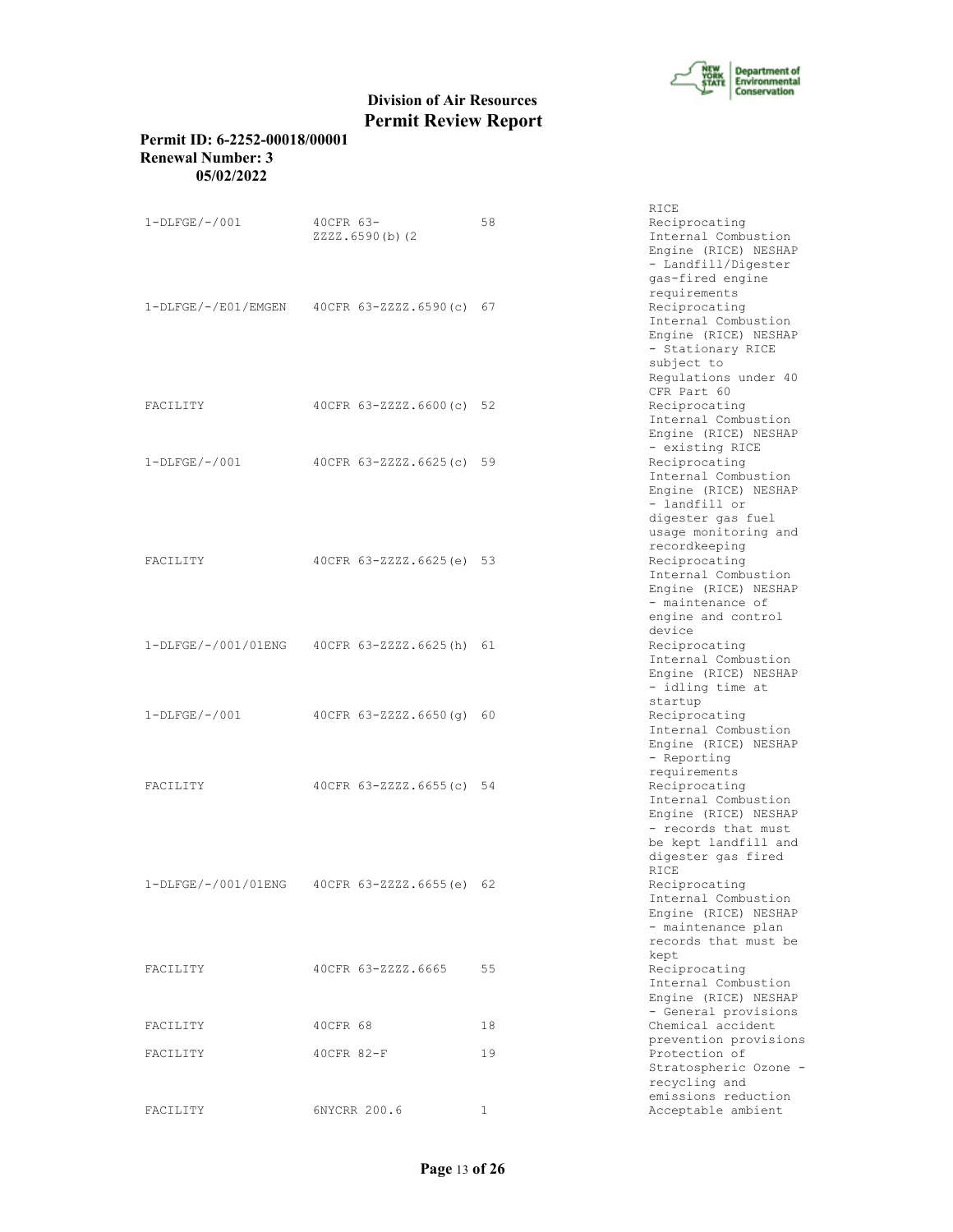

# **Permit ID: 6-2252-00018/00001 Renewal Number: 3 05/02/2022**

|                 |                                               |    | RICE                                                                                                                                           |
|-----------------|-----------------------------------------------|----|------------------------------------------------------------------------------------------------------------------------------------------------|
| $1-DLFGE/-/001$ | 40CFR 63-<br>ZZZZ.6590(b)(2                   | 58 | Reciprocating<br>Internal Combustion<br>Engine (RICE) NESHAP<br>- Landfill/Digester<br>gas-fired engine                                        |
|                 | 1-DLFGE/-/E01/EMGEN 40CFR 63-ZZZZ.6590(c) 67  |    | requirements<br>Reciprocating<br>Internal Combustion<br>Engine (RICE) NESHAP<br>- Stationary RICE<br>subject to<br>Requlations under 40        |
| FACTLITY        | 40CFR 63-ZZZZ.6600(c) 52                      |    | CFR Part 60<br>Reciprocating<br>Internal Combustion<br>Engine (RICE) NESHAP                                                                    |
| $1-DLFGE/-/001$ | 40CFR 63-ZZZZ.6625(c) 59                      |    | - existing RICE<br>Reciprocating<br>Internal Combustion<br>Engine (RICE) NESHAP<br>- landfill or                                               |
| FACILITY        | 40CFR 63-ZZZZ.6625(e) 53                      |    | digester gas fuel<br>usage monitoring and<br>recordkeeping<br>Reciprocating<br>Internal Combustion<br>Engine (RICE) NESHAP<br>- maintenance of |
|                 | 1-DLFGE/-/001/01ENG  40CFR 63-ZZZZ.6625(h) 61 |    | engine and control<br>device<br>Reciprocating<br>Internal Combustion<br>Engine (RICE) NESHAP                                                   |
| $1-DLFGE/-/001$ | $40CFR 63 - 222Z.6650(q) 60$                  |    | - idling time at<br>startup<br>Reciprocating<br>Internal Combustion<br>Engine (RICE) NESHAP<br>- Reporting                                     |
| FACILITY        | 40CFR 63-ZZZZ.6655(c) 54                      |    | requirements<br>Reciprocating<br>Internal Combustion<br>Engine (RICE) NESHAP<br>- records that must                                            |
|                 | 1-DLFGE/-/001/01ENG 40CFR 63-ZZZZ.6655(e) 62  |    | be kept landfill and<br>digester gas fired<br><b>RTCE</b><br>Reciprocating<br>Internal Combustion                                              |
|                 |                                               |    | Engine (RICE) NESHAP<br>- maintenance plan<br>records that must be<br>kept                                                                     |
| FACILITY        | 40CFR 63-ZZZZ.6665                            | 55 | Reciprocating<br>Internal Combustion<br>Engine (RICE) NESHAP<br>- General provisions                                                           |
| FACILITY        | 40CFR 68                                      | 18 | Chemical accident                                                                                                                              |
| FACILITY        | $40CFR 82-F$                                  | 19 | prevention provisions<br>Protection of<br>Stratospheric Ozone -<br>recycling and<br>emissions reduction                                        |
| FACILITY        | 6NYCRR 200.6                                  | 1  | Acceptable ambient                                                                                                                             |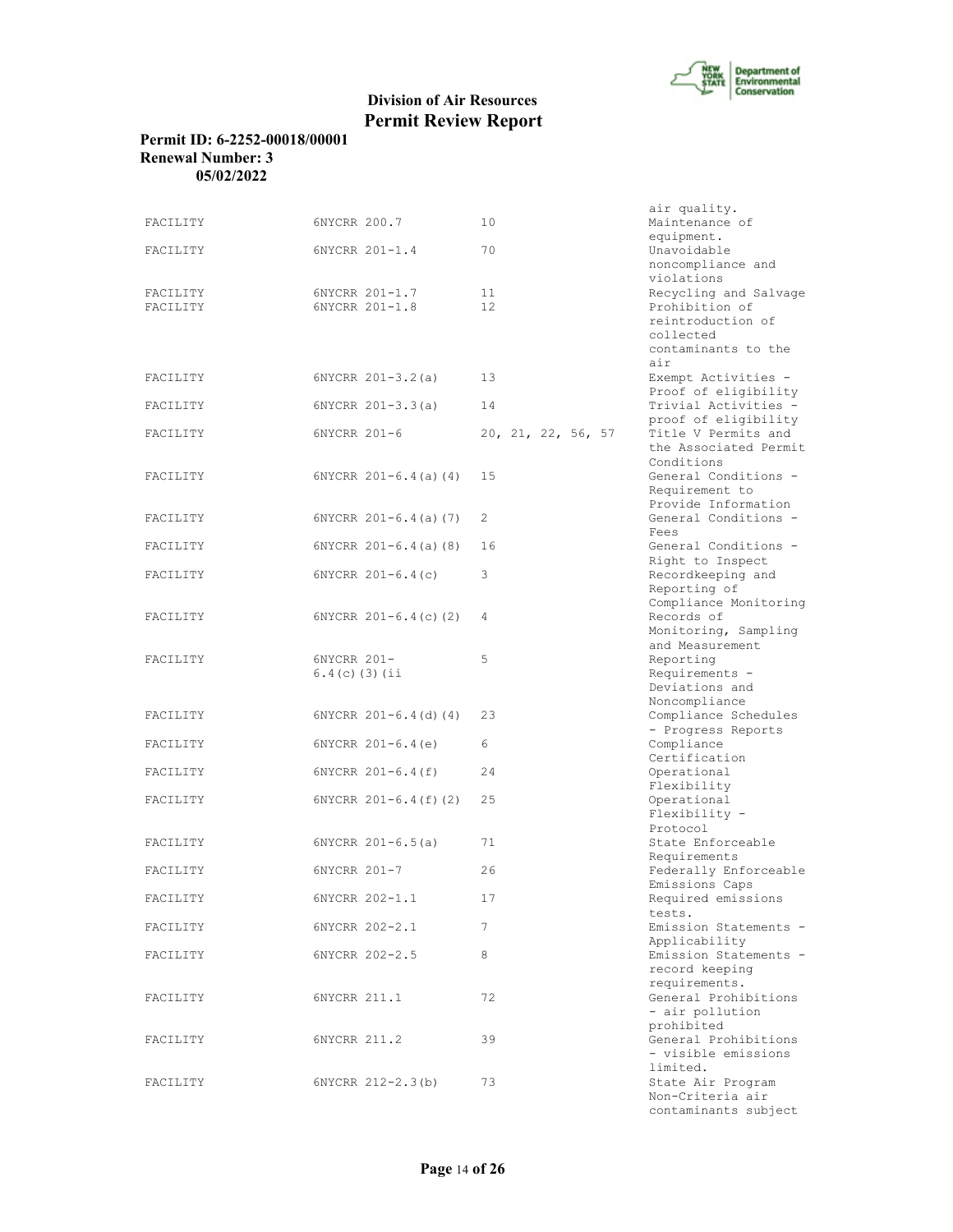

# **Permit ID: 6-2252-00018/00001 Renewal Number: 3 05/02/2022**

| FACILITY             | 6NYCRR 200.7                     | 10                 | air quality.<br>Maintenance of                                                                   |
|----------------------|----------------------------------|--------------------|--------------------------------------------------------------------------------------------------|
| FACILITY             | 6NYCRR 201-1.4                   | 70                 | equipment.<br>Unavoidable<br>noncompliance and<br>violations                                     |
| FACILITY<br>FACILITY | 6NYCRR 201-1.7<br>6NYCRR 201-1.8 | 11<br>12.          | Recycling and Salvage<br>Prohibition of<br>reintroduction of<br>collected<br>contaminants to the |
| FACILITY             | $6NYCRR 201-3.2(a)$              | 13                 | air<br>Exempt Activities -                                                                       |
| FACILITY             | $6NYCRR 201-3.3(a)$              | 14                 | Proof of eligibility<br>Trivial Activities -<br>proof of eligibility                             |
| FACILITY             | 6NYCRR 201-6                     | 20, 21, 22, 56, 57 | Title V Permits and<br>the Associated Permit<br>Conditions                                       |
| FACILITY             | $6NYCRR 201-6.4(a) (4)$          | 15                 | General Conditions -<br>Requirement to<br>Provide Information                                    |
| FACILITY             | $6NYCRR$ $201-6.4$ (a) (7)       | 2                  | General Conditions -<br>Fees                                                                     |
| FACILITY             | $6NYCRR 201-6.4(a)$ (8)          | 16                 | General Conditions -<br>Right to Inspect                                                         |
| FACILITY             | 6NYCRR $201-6.4(c)$              | 3                  | Recordkeeping and<br>Reporting of<br>Compliance Monitoring                                       |
| FACILITY             | $6NYCRR$ $201-6.4(c)$ (2)        | 4                  | Records of<br>Monitoring, Sampling<br>and Measurement                                            |
| FACILITY             | 6NYCRR 201-<br>$6.4(c)$ (3) (ii  | 5                  | Reporting<br>Requirements -<br>Deviations and                                                    |
| FACILITY             | $6NYCRR 201-6.4(d) (4)$          | 23                 | Noncompliance<br>Compliance Schedules<br>- Progress Reports                                      |
| FACILITY             | $6NYCRR 201-6.4(e)$              | 6                  | Compliance<br>Certification                                                                      |
| FACILITY             | $6NYCRR 201-6.4(f)$              | 24                 | Operational<br>Flexibility                                                                       |
| FACILITY             | $6NYCRR 201-6.4(f) (2)$          | 25                 | Operational<br>Flexibility -<br>Protocol                                                         |
| FACILITY             | $6NYCRR 201-6.5(a)$              | 71                 | State Enforceable<br>Requirements                                                                |
| FACILITY             | 6NYCRR 201-7                     | 26                 | Federally Enforceable<br>Emissions Caps                                                          |
| FACILITY             | 6NYCRR 202-1.1                   | 17                 | Required emissions<br>tests.                                                                     |
| FACILITY             | 6NYCRR 202-2.1                   | 7                  | Emission Statements -<br>Applicability                                                           |
| FACILITY             | 6NYCRR 202-2.5                   | 8                  | Emission Statements -<br>record keeping<br>requirements.                                         |
| FACILITY             | 6NYCRR 211.1                     | 72                 | General Prohibitions<br>- air pollution                                                          |
| FACILITY             | 6NYCRR 211.2                     | 39                 | prohibited<br>General Prohibitions<br>- visible emissions                                        |
| FACILITY             | 6NYCRR 212-2.3(b)                | 73                 | limited.<br>State Air Program<br>Non-Criteria air<br>contaminants subject                        |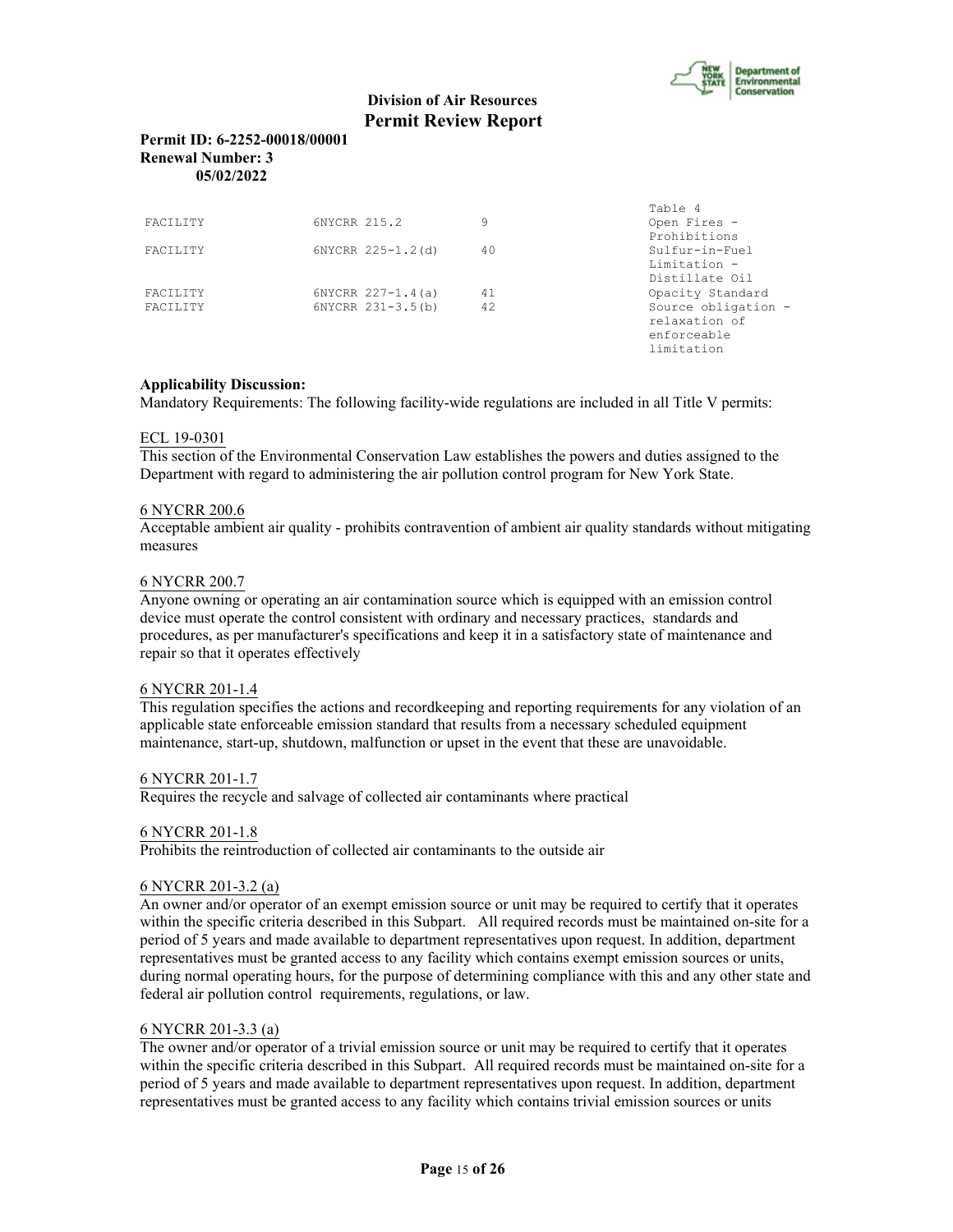

limitation

# **Division of Air Resources Permit Review Report**

# **Permit ID: 6-2252-00018/00001 Renewal Number: 3 05/02/2022**

|                 |                       |    | Table 4             |
|-----------------|-----------------------|----|---------------------|
| <b>FACTLITY</b> | 6NYCRR 215.2          | 9  | Open Fires -        |
|                 |                       |    | Prohibitions        |
| <b>FACTLITY</b> | 6NYCRR 225-1.2(d)     | 40 | $Sulfur-in-Fuel$    |
|                 |                       |    | Limitation -        |
|                 |                       |    | Distillate Oil      |
| <b>FACTLITY</b> | $6NYCRR 227 - 1.4(a)$ | 41 | Opacity Standard    |
| <b>FACTLITY</b> | 6NYCRR 231-3.5(b)     | 42 | Source obligation - |
|                 |                       |    | relaxation of       |
|                 |                       |    | enforceable         |

# **Applicability Discussion:**

Mandatory Requirements: The following facility-wide regulations are included in all Title V permits:

# ECL 19-0301

This section of the Environmental Conservation Law establishes the powers and duties assigned to the Department with regard to administering the air pollution control program for New York State.

#### 6 NYCRR 200.6

Acceptable ambient air quality - prohibits contravention of ambient air quality standards without mitigating measures

#### 6 NYCRR 200.7

Anyone owning or operating an air contamination source which is equipped with an emission control device must operate the control consistent with ordinary and necessary practices, standards and procedures, as per manufacturer's specifications and keep it in a satisfactory state of maintenance and repair so that it operates effectively

# 6 NYCRR 201-1.4

This regulation specifies the actions and recordkeeping and reporting requirements for any violation of an applicable state enforceable emission standard that results from a necessary scheduled equipment maintenance, start-up, shutdown, malfunction or upset in the event that these are unavoidable.

#### 6 NYCRR 201-1.7

Requires the recycle and salvage of collected air contaminants where practical

#### 6 NYCRR 201-1.8

Prohibits the reintroduction of collected air contaminants to the outside air

#### 6 NYCRR 201-3.2 (a)

An owner and/or operator of an exempt emission source or unit may be required to certify that it operates within the specific criteria described in this Subpart. All required records must be maintained on-site for a period of 5 years and made available to department representatives upon request. In addition, department representatives must be granted access to any facility which contains exempt emission sources or units, during normal operating hours, for the purpose of determining compliance with this and any other state and federal air pollution control requirements, regulations, or law.

#### 6 NYCRR 201-3.3 (a)

The owner and/or operator of a trivial emission source or unit may be required to certify that it operates within the specific criteria described in this Subpart. All required records must be maintained on-site for a period of 5 years and made available to department representatives upon request. In addition, department representatives must be granted access to any facility which contains trivial emission sources or units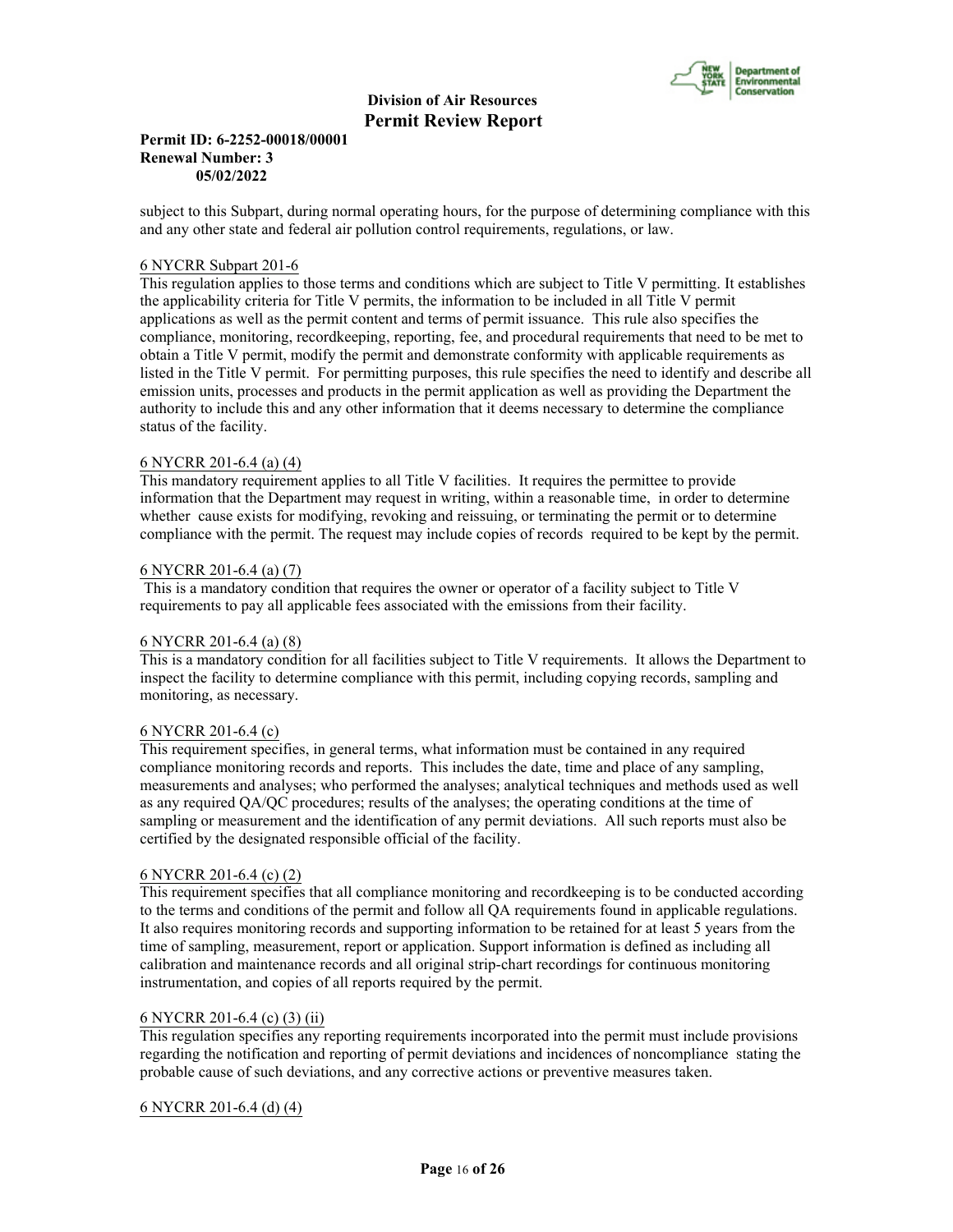

## **Permit ID: 6-2252-00018/00001 Renewal Number: 3 05/02/2022**

subject to this Subpart, during normal operating hours, for the purpose of determining compliance with this and any other state and federal air pollution control requirements, regulations, or law.

#### 6 NYCRR Subpart 201-6

This regulation applies to those terms and conditions which are subject to Title V permitting. It establishes the applicability criteria for Title V permits, the information to be included in all Title V permit applications as well as the permit content and terms of permit issuance. This rule also specifies the compliance, monitoring, recordkeeping, reporting, fee, and procedural requirements that need to be met to obtain a Title V permit, modify the permit and demonstrate conformity with applicable requirements as listed in the Title V permit. For permitting purposes, this rule specifies the need to identify and describe all emission units, processes and products in the permit application as well as providing the Department the authority to include this and any other information that it deems necessary to determine the compliance status of the facility.

# 6 NYCRR 201-6.4 (a) (4)

This mandatory requirement applies to all Title V facilities. It requires the permittee to provide information that the Department may request in writing, within a reasonable time, in order to determine whether cause exists for modifying, revoking and reissuing, or terminating the permit or to determine compliance with the permit. The request may include copies of records required to be kept by the permit.

# 6 NYCRR 201-6.4 (a) (7)

 This is a mandatory condition that requires the owner or operator of a facility subject to Title V requirements to pay all applicable fees associated with the emissions from their facility.

# 6 NYCRR 201-6.4 (a) (8)

This is a mandatory condition for all facilities subject to Title V requirements. It allows the Department to inspect the facility to determine compliance with this permit, including copying records, sampling and monitoring, as necessary.

#### 6 NYCRR 201-6.4 (c)

This requirement specifies, in general terms, what information must be contained in any required compliance monitoring records and reports. This includes the date, time and place of any sampling, measurements and analyses; who performed the analyses; analytical techniques and methods used as well as any required QA/QC procedures; results of the analyses; the operating conditions at the time of sampling or measurement and the identification of any permit deviations. All such reports must also be certified by the designated responsible official of the facility.

#### 6 NYCRR 201-6.4 (c) (2)

This requirement specifies that all compliance monitoring and recordkeeping is to be conducted according to the terms and conditions of the permit and follow all QA requirements found in applicable regulations. It also requires monitoring records and supporting information to be retained for at least 5 years from the time of sampling, measurement, report or application. Support information is defined as including all calibration and maintenance records and all original strip-chart recordings for continuous monitoring instrumentation, and copies of all reports required by the permit.

# 6 NYCRR 201-6.4 (c) (3) (ii)

This regulation specifies any reporting requirements incorporated into the permit must include provisions regarding the notification and reporting of permit deviations and incidences of noncompliance stating the probable cause of such deviations, and any corrective actions or preventive measures taken.

# 6 NYCRR 201-6.4 (d) (4)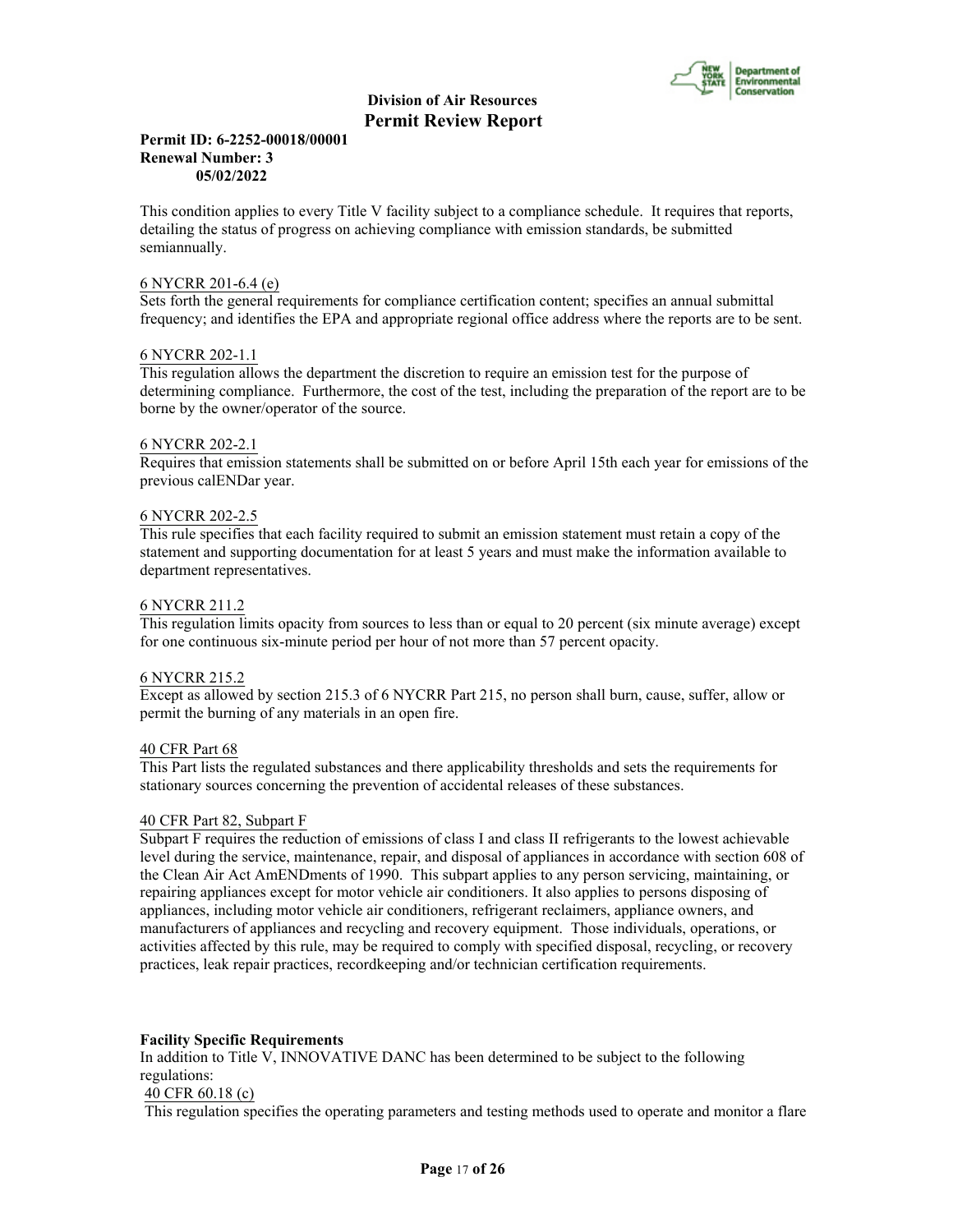

#### **Permit ID: 6-2252-00018/00001 Renewal Number: 3 05/02/2022**

This condition applies to every Title V facility subject to a compliance schedule. It requires that reports, detailing the status of progress on achieving compliance with emission standards, be submitted semiannually.

## 6 NYCRR 201-6.4 (e)

Sets forth the general requirements for compliance certification content; specifies an annual submittal frequency; and identifies the EPA and appropriate regional office address where the reports are to be sent.

# 6 NYCRR 202-1.1

This regulation allows the department the discretion to require an emission test for the purpose of determining compliance. Furthermore, the cost of the test, including the preparation of the report are to be borne by the owner/operator of the source.

# 6 NYCRR 202-2.1

Requires that emission statements shall be submitted on or before April 15th each year for emissions of the previous calENDar year.

# 6 NYCRR 202-2.5

This rule specifies that each facility required to submit an emission statement must retain a copy of the statement and supporting documentation for at least 5 years and must make the information available to department representatives.

# 6 NYCRR 211.2

This regulation limits opacity from sources to less than or equal to 20 percent (six minute average) except for one continuous six-minute period per hour of not more than 57 percent opacity.

#### 6 NYCRR 215.2

Except as allowed by section 215.3 of 6 NYCRR Part 215, no person shall burn, cause, suffer, allow or permit the burning of any materials in an open fire.

#### 40 CFR Part 68

This Part lists the regulated substances and there applicability thresholds and sets the requirements for stationary sources concerning the prevention of accidental releases of these substances.

# 40 CFR Part 82, Subpart F

Subpart F requires the reduction of emissions of class I and class II refrigerants to the lowest achievable level during the service, maintenance, repair, and disposal of appliances in accordance with section 608 of the Clean Air Act AmENDments of 1990. This subpart applies to any person servicing, maintaining, or repairing appliances except for motor vehicle air conditioners. It also applies to persons disposing of appliances, including motor vehicle air conditioners, refrigerant reclaimers, appliance owners, and manufacturers of appliances and recycling and recovery equipment. Those individuals, operations, or activities affected by this rule, may be required to comply with specified disposal, recycling, or recovery practices, leak repair practices, recordkeeping and/or technician certification requirements.

# **Facility Specific Requirements**

In addition to Title V, INNOVATIVE DANC has been determined to be subject to the following regulations:

# 40 CFR 60.18 (c)

This regulation specifies the operating parameters and testing methods used to operate and monitor a flare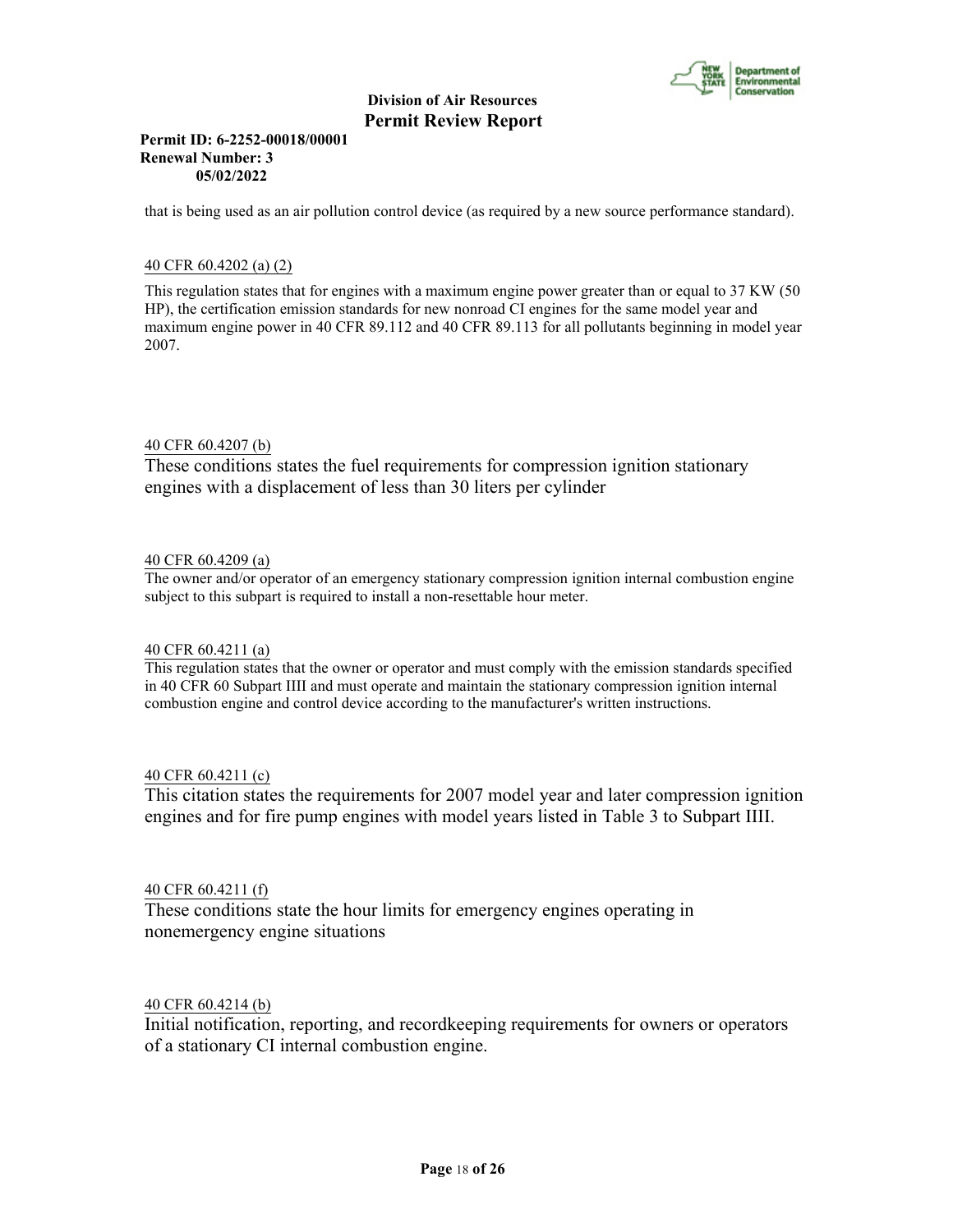

## **Permit ID: 6-2252-00018/00001 Renewal Number: 3 05/02/2022**

that is being used as an air pollution control device (as required by a new source performance standard).

# 40 CFR 60.4202 (a) (2)

This regulation states that for engines with a maximum engine power greater than or equal to 37 KW (50 HP), the certification emission standards for new nonroad CI engines for the same model year and maximum engine power in 40 CFR 89.112 and 40 CFR 89.113 for all pollutants beginning in model year 2007.

# 40 CFR 60.4207 (b)

These conditions states the fuel requirements for compression ignition stationary engines with a displacement of less than 30 liters per cylinder

# 40 CFR 60.4209 (a)

The owner and/or operator of an emergency stationary compression ignition internal combustion engine subject to this subpart is required to install a non-resettable hour meter.

#### 40 CFR 60.4211 (a)

This regulation states that the owner or operator and must comply with the emission standards specified in 40 CFR 60 Subpart IIII and must operate and maintain the stationary compression ignition internal combustion engine and control device according to the manufacturer's written instructions.

# 40 CFR 60.4211 (c)

This citation states the requirements for 2007 model year and later compression ignition engines and for fire pump engines with model years listed in Table 3 to Subpart IIII.

# 40 CFR 60.4211 (f)

These conditions state the hour limits for emergency engines operating in nonemergency engine situations

# 40 CFR 60.4214 (b)

Initial notification, reporting, and recordkeeping requirements for owners or operators of a stationary CI internal combustion engine.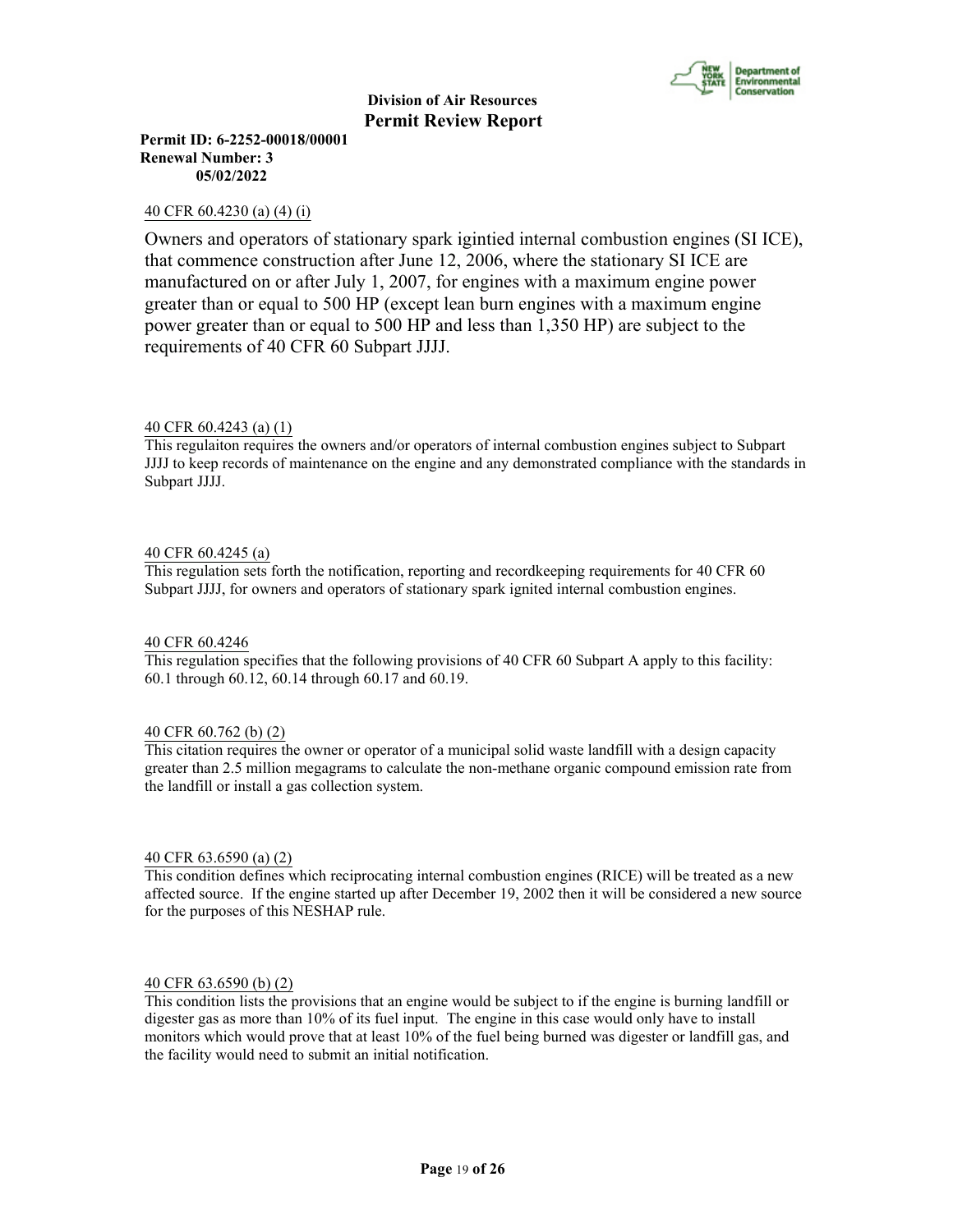

**Permit ID: 6-2252-00018/00001 Renewal Number: 3 05/02/2022**

# 40 CFR 60.4230 (a) (4) (i)

Owners and operators of stationary spark igintied internal combustion engines (SI ICE), that commence construction after June 12, 2006, where the stationary SI ICE are manufactured on or after July 1, 2007, for engines with a maximum engine power greater than or equal to 500 HP (except lean burn engines with a maximum engine power greater than or equal to 500 HP and less than 1,350 HP) are subject to the requirements of 40 CFR 60 Subpart JJJJ.

# 40 CFR 60.4243 (a) (1)

This regulaiton requires the owners and/or operators of internal combustion engines subject to Subpart JJJJ to keep records of maintenance on the engine and any demonstrated compliance with the standards in Subpart JJJJ.

#### 40 CFR 60.4245 (a)

This regulation sets forth the notification, reporting and recordkeeping requirements for 40 CFR 60 Subpart JJJJ, for owners and operators of stationary spark ignited internal combustion engines.

# 40 CFR 60.4246

This regulation specifies that the following provisions of 40 CFR 60 Subpart A apply to this facility: 60.1 through 60.12, 60.14 through 60.17 and 60.19.

#### 40 CFR 60.762 (b) (2)

This citation requires the owner or operator of a municipal solid waste landfill with a design capacity greater than 2.5 million megagrams to calculate the non-methane organic compound emission rate from the landfill or install a gas collection system.

#### 40 CFR 63.6590 (a) (2)

This condition defines which reciprocating internal combustion engines (RICE) will be treated as a new affected source. If the engine started up after December 19, 2002 then it will be considered a new source for the purposes of this NESHAP rule.

#### 40 CFR 63.6590 (b) (2)

This condition lists the provisions that an engine would be subject to if the engine is burning landfill or digester gas as more than 10% of its fuel input. The engine in this case would only have to install monitors which would prove that at least 10% of the fuel being burned was digester or landfill gas, and the facility would need to submit an initial notification.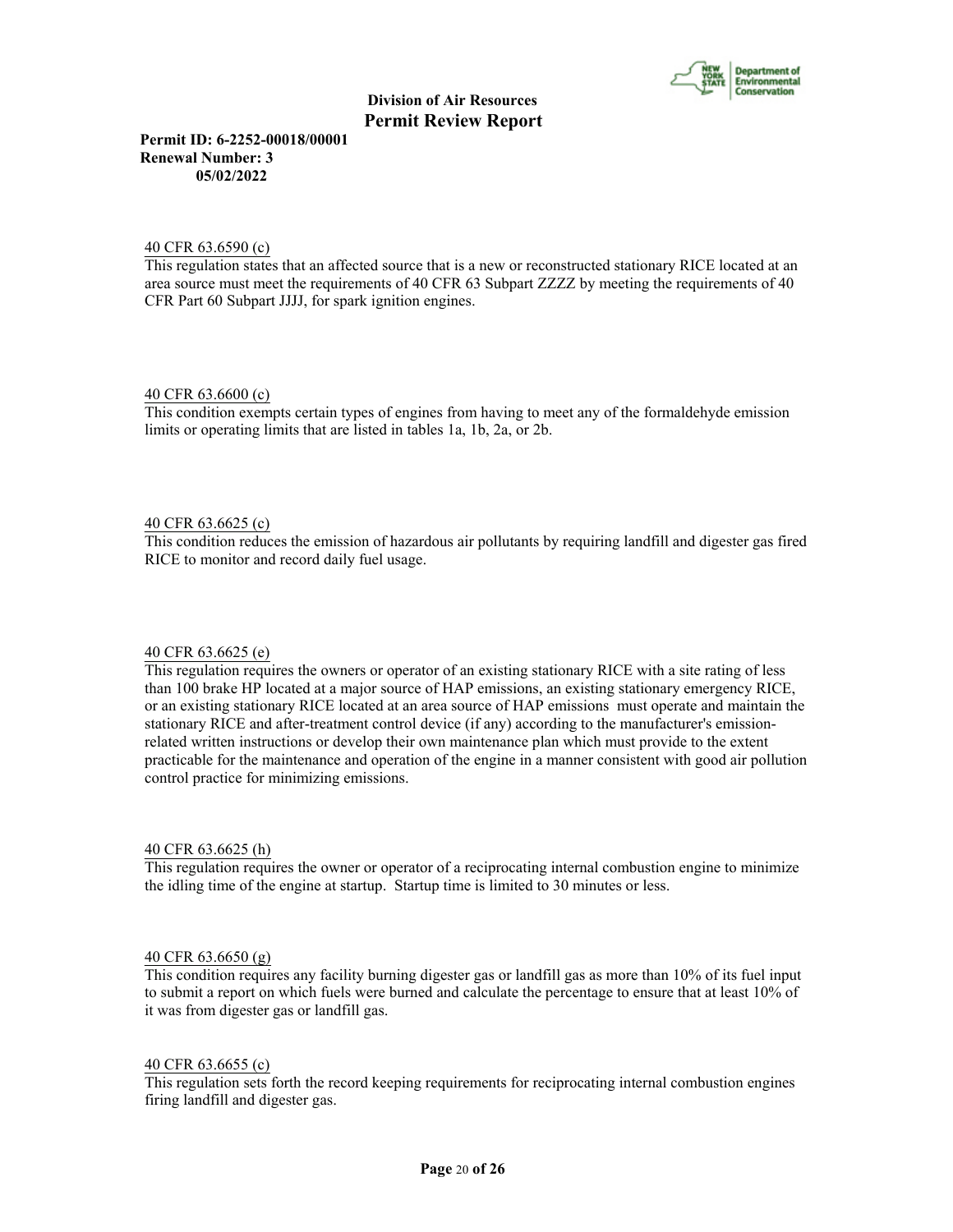

**Permit ID: 6-2252-00018/00001 Renewal Number: 3 05/02/2022**

# 40 CFR 63.6590 (c)

This regulation states that an affected source that is a new or reconstructed stationary RICE located at an area source must meet the requirements of 40 CFR 63 Subpart ZZZZ by meeting the requirements of 40 CFR Part 60 Subpart JJJJ, for spark ignition engines.

#### 40 CFR 63.6600 (c)

This condition exempts certain types of engines from having to meet any of the formaldehyde emission limits or operating limits that are listed in tables 1a, 1b, 2a, or 2b.

# 40 CFR 63.6625 (c)

This condition reduces the emission of hazardous air pollutants by requiring landfill and digester gas fired RICE to monitor and record daily fuel usage.

#### 40 CFR 63.6625 (e)

This regulation requires the owners or operator of an existing stationary RICE with a site rating of less than 100 brake HP located at a major source of HAP emissions, an existing stationary emergency RICE, or an existing stationary RICE located at an area source of HAP emissions must operate and maintain the stationary RICE and after-treatment control device (if any) according to the manufacturer's emissionrelated written instructions or develop their own maintenance plan which must provide to the extent practicable for the maintenance and operation of the engine in a manner consistent with good air pollution control practice for minimizing emissions.

#### 40 CFR 63.6625 (h)

This regulation requires the owner or operator of a reciprocating internal combustion engine to minimize the idling time of the engine at startup. Startup time is limited to 30 minutes or less.

#### 40 CFR 63.6650 (g)

This condition requires any facility burning digester gas or landfill gas as more than 10% of its fuel input to submit a report on which fuels were burned and calculate the percentage to ensure that at least 10% of it was from digester gas or landfill gas.

#### 40 CFR 63.6655 (c)

This regulation sets forth the record keeping requirements for reciprocating internal combustion engines firing landfill and digester gas.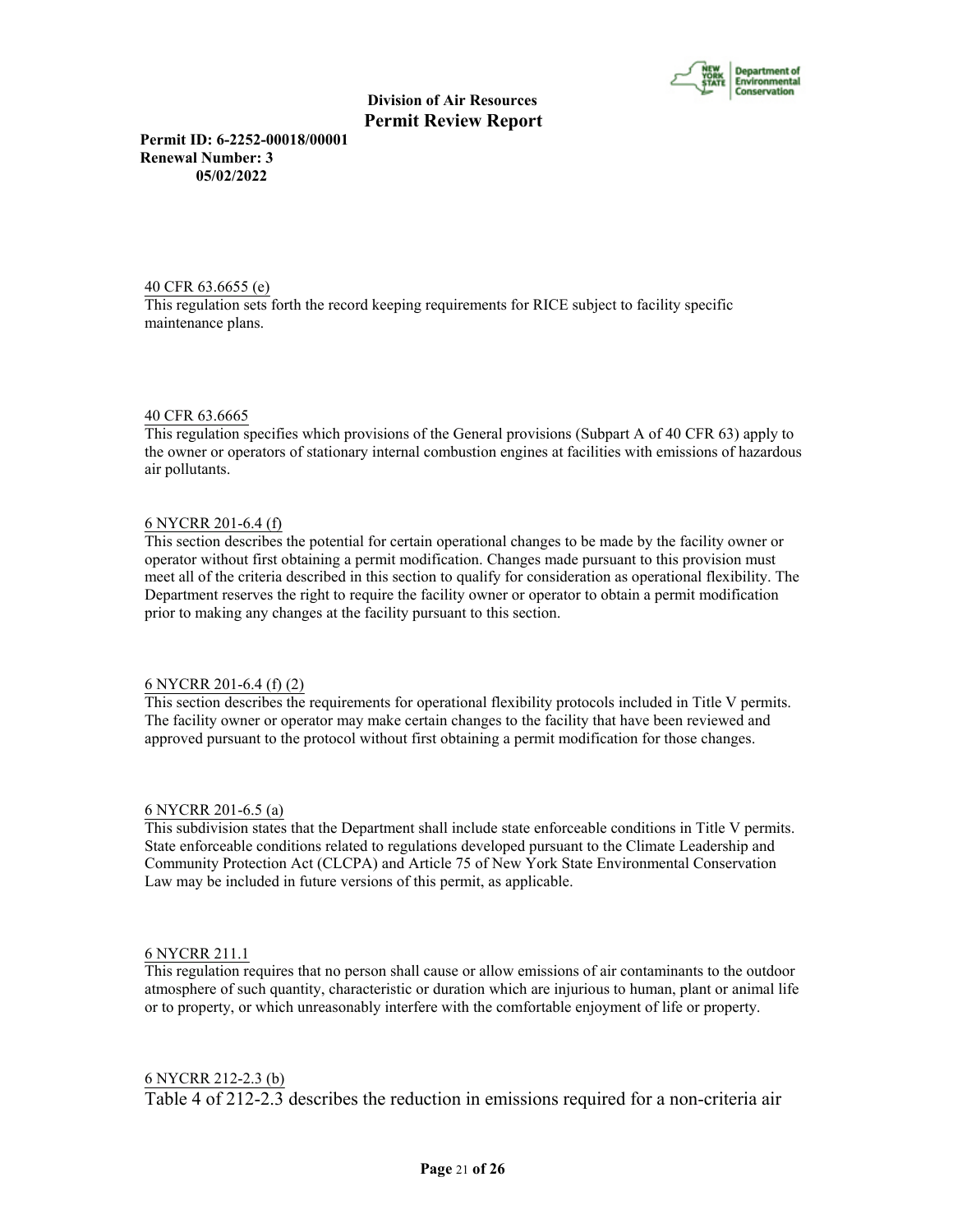

**Permit ID: 6-2252-00018/00001 Renewal Number: 3 05/02/2022**

40 CFR 63.6655 (e) This regulation sets forth the record keeping requirements for RICE subject to facility specific maintenance plans.

#### 40 CFR 63.6665

This regulation specifies which provisions of the General provisions (Subpart A of 40 CFR 63) apply to the owner or operators of stationary internal combustion engines at facilities with emissions of hazardous air pollutants.

#### 6 NYCRR 201-6.4 (f)

This section describes the potential for certain operational changes to be made by the facility owner or operator without first obtaining a permit modification. Changes made pursuant to this provision must meet all of the criteria described in this section to qualify for consideration as operational flexibility. The Department reserves the right to require the facility owner or operator to obtain a permit modification prior to making any changes at the facility pursuant to this section.

#### 6 NYCRR 201-6.4 (f) (2)

This section describes the requirements for operational flexibility protocols included in Title V permits. The facility owner or operator may make certain changes to the facility that have been reviewed and approved pursuant to the protocol without first obtaining a permit modification for those changes.

#### 6 NYCRR 201-6.5 (a)

This subdivision states that the Department shall include state enforceable conditions in Title V permits. State enforceable conditions related to regulations developed pursuant to the Climate Leadership and Community Protection Act (CLCPA) and Article 75 of New York State Environmental Conservation Law may be included in future versions of this permit, as applicable.

#### 6 NYCRR 211.1

This regulation requires that no person shall cause or allow emissions of air contaminants to the outdoor atmosphere of such quantity, characteristic or duration which are injurious to human, plant or animal life or to property, or which unreasonably interfere with the comfortable enjoyment of life or property.

## 6 NYCRR 212-2.3 (b)

Table 4 of 212-2.3 describes the reduction in emissions required for a non-criteria air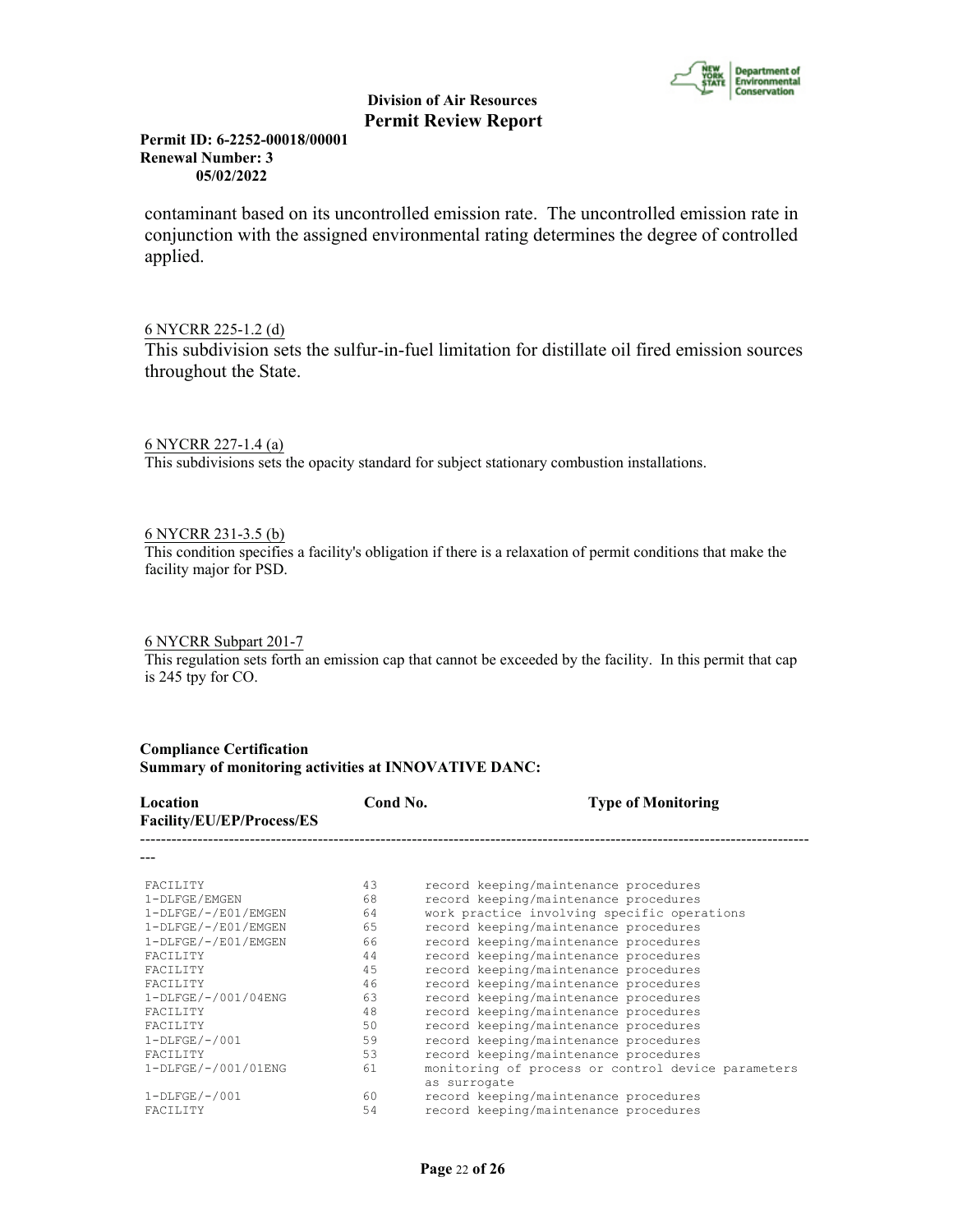

# **Permit ID: 6-2252-00018/00001 Renewal Number: 3 05/02/2022**

contaminant based on its uncontrolled emission rate. The uncontrolled emission rate in conjunction with the assigned environmental rating determines the degree of controlled applied.

# 6 NYCRR 225-1.2 (d)

This subdivision sets the sulfur-in-fuel limitation for distillate oil fired emission sources throughout the State.

# 6 NYCRR 227-1.4 (a)

This subdivisions sets the opacity standard for subject stationary combustion installations.

# 6 NYCRR 231-3.5 (b)

This condition specifies a facility's obligation if there is a relaxation of permit conditions that make the facility major for PSD.

# 6 NYCRR Subpart 201-7

This regulation sets forth an emission cap that cannot be exceeded by the facility. In this permit that cap is 245 tpy for CO.

### **Compliance Certification Summary of monitoring activities at INNOVATIVE DANC:**

| Location<br>Facility/EU/EP/Process/ES | Cond No. | <b>Type of Monitoring</b>                                          |
|---------------------------------------|----------|--------------------------------------------------------------------|
|                                       |          |                                                                    |
| <b>FACTLITY</b>                       | 43       | record keeping/maintenance procedures                              |
| 1-DLFGE/EMGEN                         | 68       | record keeping/maintenance procedures                              |
| $1-DLFGE/-/E01/EMGEN$                 | 64       | work practice involving specific operations                        |
| $1-DLFGE/-/E01/EMGEN$                 | 65       | record keeping/maintenance procedures                              |
| $1-DLFGE/-/E01/EMGEN$                 | 66       | record keeping/maintenance procedures                              |
| <b>FACTLITY</b>                       | 44       | record keeping/maintenance procedures                              |
| FACTLITY                              | 45       | record keeping/maintenance procedures                              |
| <b>FACTLITY</b>                       | 46       | record keeping/maintenance procedures                              |
| 1-DLFGE/-/001/04ENG                   | 63       | record keeping/maintenance procedures                              |
| <b>FACTLITY</b>                       | 48       | record keeping/maintenance procedures                              |
| <b>FACTLITY</b>                       | 50       | record keeping/maintenance procedures                              |
| $1-DLFGE/-/001$                       | 59       | record keeping/maintenance procedures                              |
| <b>FACTLITY</b>                       | 53       | record keeping/maintenance procedures                              |
| 1-DLFGE/-/001/01ENG                   | 61       | monitoring of process or control device parameters<br>as surrogate |
| $1-DLFGE/-/001$                       | 60       | record keeping/maintenance procedures                              |
| <b>FACTLITY</b>                       | 54       | record keeping/maintenance procedures                              |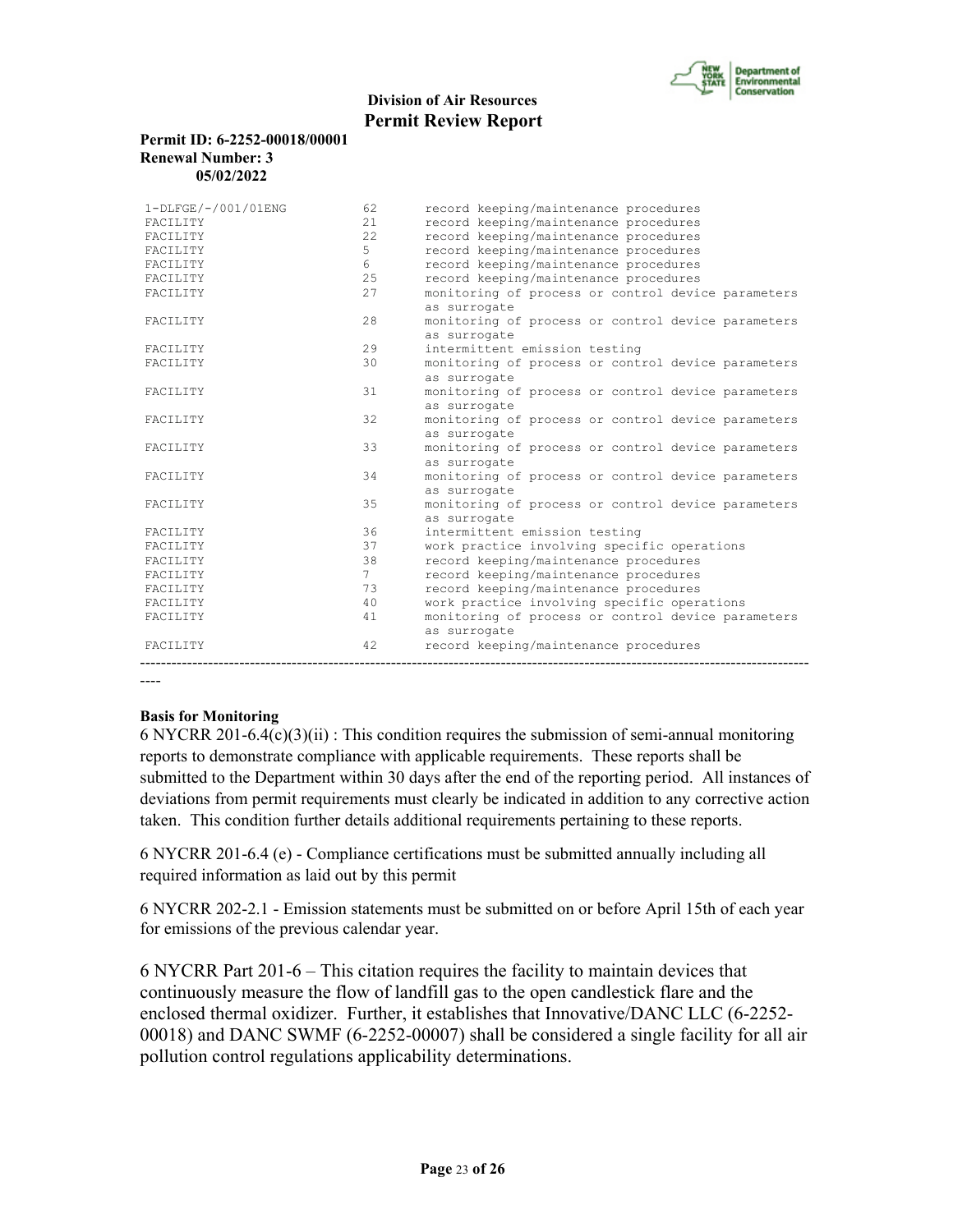

## **Permit ID: 6-2252-00018/00001 Renewal Number: 3 05/02/2022**

| 1-DLFGE/-/001/01ENG | 62          | record keeping/maintenance procedures              |
|---------------------|-------------|----------------------------------------------------|
| FACILITY            | 2.1         | record keeping/maintenance procedures              |
| FACILITY            | 22          | record keeping/maintenance procedures              |
| FACILITY            | 5           | record keeping/maintenance procedures              |
| FACILITY            | 6           | record keeping/maintenance procedures              |
| FACILITY            | 25          | record keeping/maintenance procedures              |
| FACILITY            | 27          | monitoring of process or control device parameters |
|                     |             | as surrogate                                       |
| FACILITY            | 2.8         | monitoring of process or control device parameters |
|                     |             | as surrogate                                       |
| FACILITY            | 29          | intermittent emission testing                      |
| FACILITY            | 30          | monitoring of process or control device parameters |
|                     |             | as surrogate                                       |
| FACILITY            | 31          | monitoring of process or control device parameters |
|                     |             | as surrogate                                       |
| FACILITY            | 32          | monitoring of process or control device parameters |
|                     |             | as surrogate                                       |
| FACILITY            | 33          | monitoring of process or control device parameters |
|                     |             | as surrogate                                       |
| FACILITY            | 34          | monitoring of process or control device parameters |
|                     |             | as surrogate                                       |
| FACILITY            | 35          | monitoring of process or control device parameters |
|                     |             | as surrogate                                       |
| FACILITY            | 36          | intermittent emission testing                      |
| FACILITY            | 37          | work practice involving specific operations        |
| FACILITY            | 38          | record keeping/maintenance procedures              |
| FACILITY            | $7^{\circ}$ | record keeping/maintenance procedures              |
| FACILITY            | 73          | record keeping/maintenance procedures              |
| FACILITY            | 40          | work practice involving specific operations        |
| FACILITY            | 41          | monitoring of process or control device parameters |
|                     |             | as surrogate                                       |
| FACILITY            | 42          | record keeping/maintenance procedures              |
|                     |             |                                                    |

----

# **Basis for Monitoring**

6 NYCRR 201-6.4(c)(3)(ii) : This condition requires the submission of semi-annual monitoring reports to demonstrate compliance with applicable requirements. These reports shall be submitted to the Department within 30 days after the end of the reporting period. All instances of deviations from permit requirements must clearly be indicated in addition to any corrective action taken. This condition further details additional requirements pertaining to these reports.

6 NYCRR 201-6.4 (e) - Compliance certifications must be submitted annually including all required information as laid out by this permit

6 NYCRR 202-2.1 - Emission statements must be submitted on or before April 15th of each year for emissions of the previous calendar year.

6 NYCRR Part 201-6 – This citation requires the facility to maintain devices that continuously measure the flow of landfill gas to the open candlestick flare and the enclosed thermal oxidizer. Further, it establishes that Innovative/DANC LLC (6-2252- 00018) and DANC SWMF (6-2252-00007) shall be considered a single facility for all air pollution control regulations applicability determinations.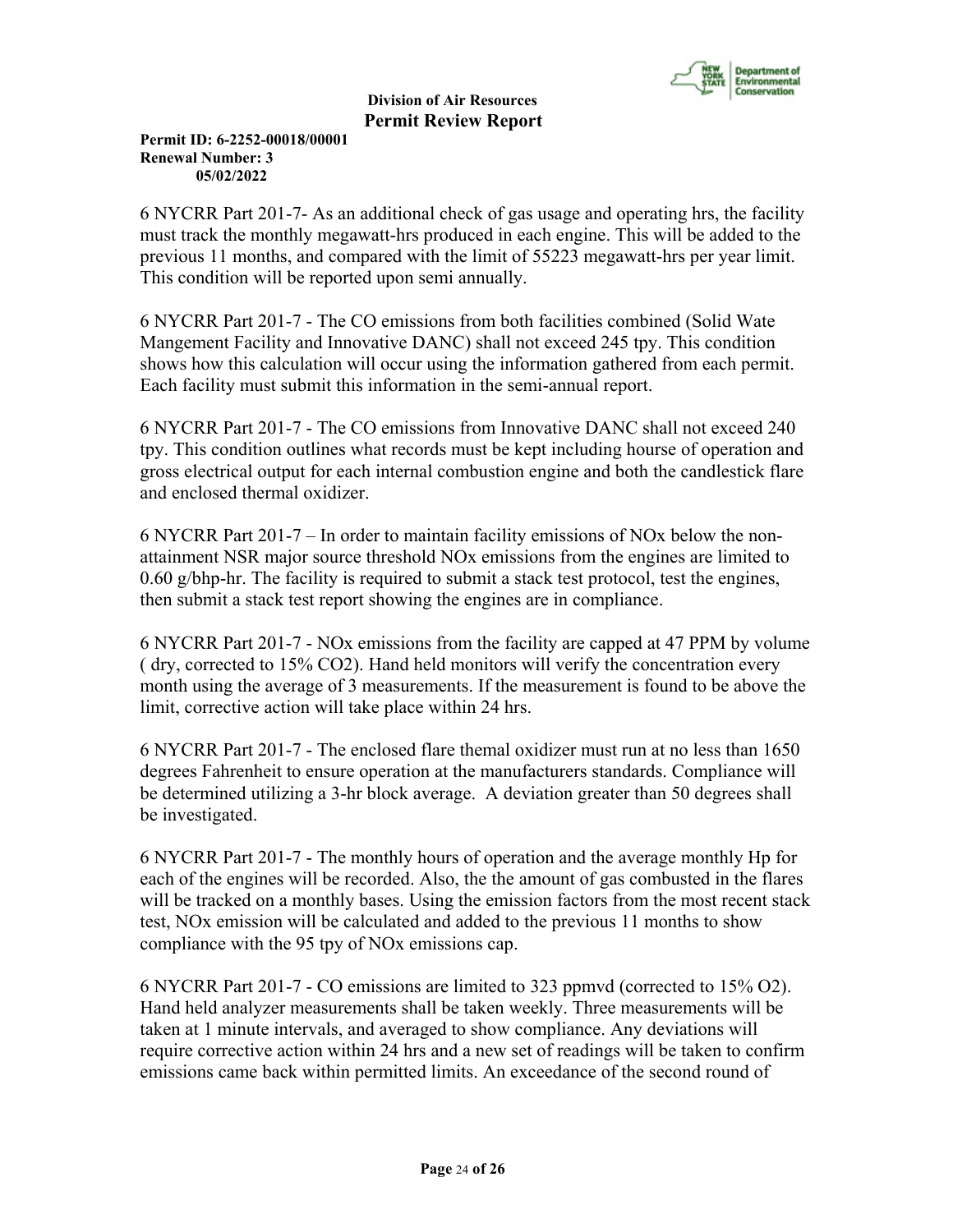

**Permit ID: 6-2252-00018/00001 Renewal Number: 3 05/02/2022**

6 NYCRR Part 201-7- As an additional check of gas usage and operating hrs, the facility must track the monthly megawatt-hrs produced in each engine. This will be added to the previous 11 months, and compared with the limit of 55223 megawatt-hrs per year limit. This condition will be reported upon semi annually.

6 NYCRR Part 201-7 - The CO emissions from both facilities combined (Solid Wate Mangement Facility and Innovative DANC) shall not exceed 245 tpy. This condition shows how this calculation will occur using the information gathered from each permit. Each facility must submit this information in the semi-annual report.

6 NYCRR Part 201-7 - The CO emissions from Innovative DANC shall not exceed 240 tpy. This condition outlines what records must be kept including hourse of operation and gross electrical output for each internal combustion engine and both the candlestick flare and enclosed thermal oxidizer.

6 NYCRR Part 201-7 – In order to maintain facility emissions of NOx below the nonattainment NSR major source threshold NOx emissions from the engines are limited to  $0.60$  g/bhp-hr. The facility is required to submit a stack test protocol, test the engines, then submit a stack test report showing the engines are in compliance.

6 NYCRR Part 201-7 - NOx emissions from the facility are capped at 47 PPM by volume ( dry, corrected to 15% CO2). Hand held monitors will verify the concentration every month using the average of 3 measurements. If the measurement is found to be above the limit, corrective action will take place within 24 hrs.

6 NYCRR Part 201-7 - The enclosed flare themal oxidizer must run at no less than 1650 degrees Fahrenheit to ensure operation at the manufacturers standards. Compliance will be determined utilizing a 3-hr block average. A deviation greater than 50 degrees shall be investigated.

6 NYCRR Part 201-7 - The monthly hours of operation and the average monthly Hp for each of the engines will be recorded. Also, the the amount of gas combusted in the flares will be tracked on a monthly bases. Using the emission factors from the most recent stack test, NOx emission will be calculated and added to the previous 11 months to show compliance with the 95 tpy of NOx emissions cap.

6 NYCRR Part 201-7 - CO emissions are limited to 323 ppmvd (corrected to 15% O2). Hand held analyzer measurements shall be taken weekly. Three measurements will be taken at 1 minute intervals, and averaged to show compliance. Any deviations will require corrective action within 24 hrs and a new set of readings will be taken to confirm emissions came back within permitted limits. An exceedance of the second round of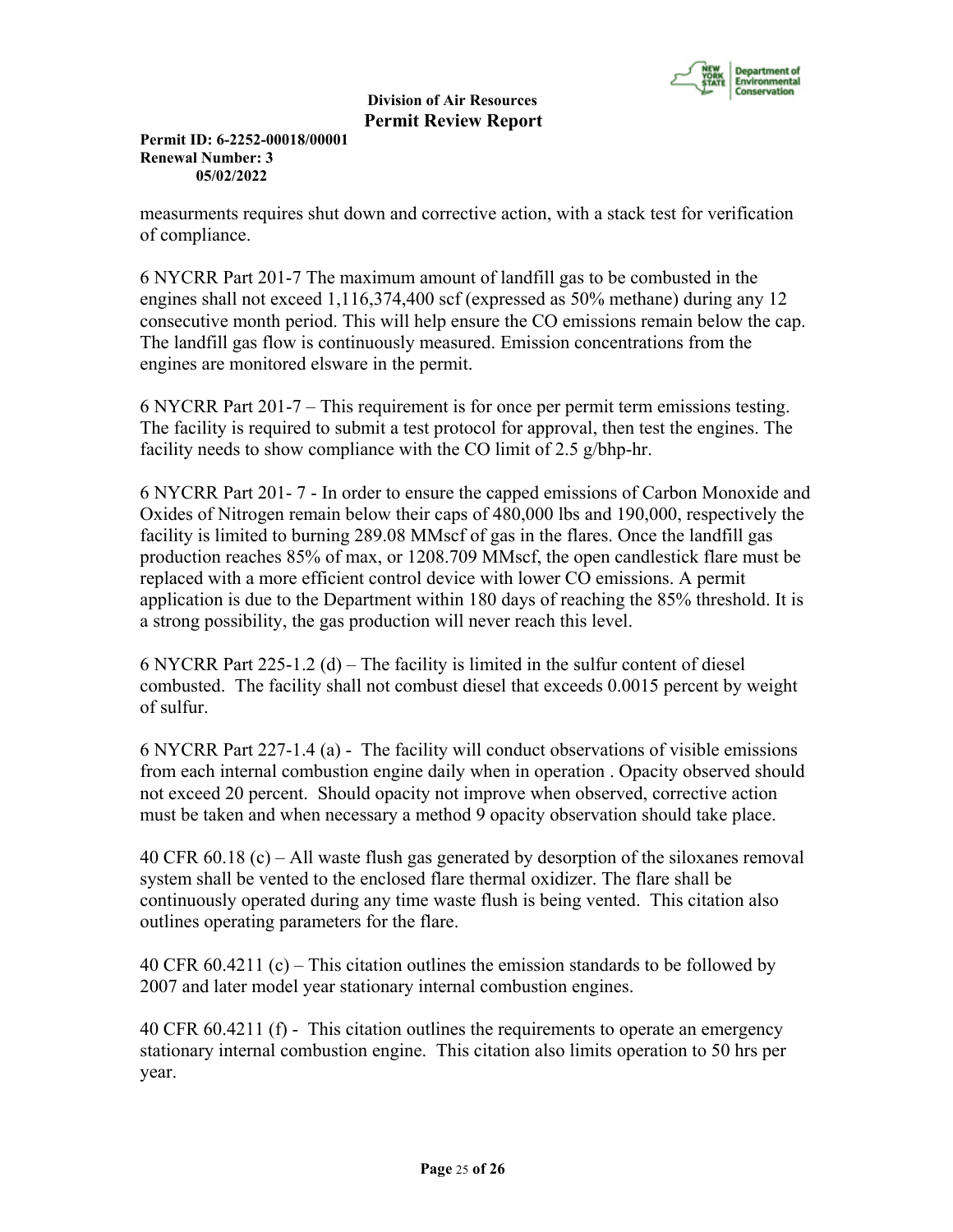

**Permit ID: 6-2252-00018/00001 Renewal Number: 3 05/02/2022**

measurments requires shut down and corrective action, with a stack test for verification of compliance.

6 NYCRR Part 201-7 The maximum amount of landfill gas to be combusted in the engines shall not exceed 1,116,374,400 scf (expressed as 50% methane) during any 12 consecutive month period. This will help ensure the CO emissions remain below the cap. The landfill gas flow is continuously measured. Emission concentrations from the engines are monitored elsware in the permit.

6 NYCRR Part 201-7 – This requirement is for once per permit term emissions testing. The facility is required to submit a test protocol for approval, then test the engines. The facility needs to show compliance with the CO limit of 2.5 g/bhp-hr.

6 NYCRR Part 201- 7 - In order to ensure the capped emissions of Carbon Monoxide and Oxides of Nitrogen remain below their caps of 480,000 lbs and 190,000, respectively the facility is limited to burning 289.08 MMscf of gas in the flares. Once the landfill gas production reaches 85% of max, or 1208.709 MMscf, the open candlestick flare must be replaced with a more efficient control device with lower CO emissions. A permit application is due to the Department within 180 days of reaching the 85% threshold. It is a strong possibility, the gas production will never reach this level.

6 NYCRR Part 225-1.2 (d) – The facility is limited in the sulfur content of diesel combusted. The facility shall not combust diesel that exceeds 0.0015 percent by weight of sulfur.

6 NYCRR Part 227-1.4 (a) - The facility will conduct observations of visible emissions from each internal combustion engine daily when in operation . Opacity observed should not exceed 20 percent. Should opacity not improve when observed, corrective action must be taken and when necessary a method 9 opacity observation should take place.

40 CFR 60.18 (c) – All waste flush gas generated by desorption of the siloxanes removal system shall be vented to the enclosed flare thermal oxidizer. The flare shall be continuously operated during any time waste flush is being vented. This citation also outlines operating parameters for the flare.

40 CFR 60.4211 (c) – This citation outlines the emission standards to be followed by 2007 and later model year stationary internal combustion engines.

40 CFR 60.4211 (f) - This citation outlines the requirements to operate an emergency stationary internal combustion engine. This citation also limits operation to 50 hrs per year.